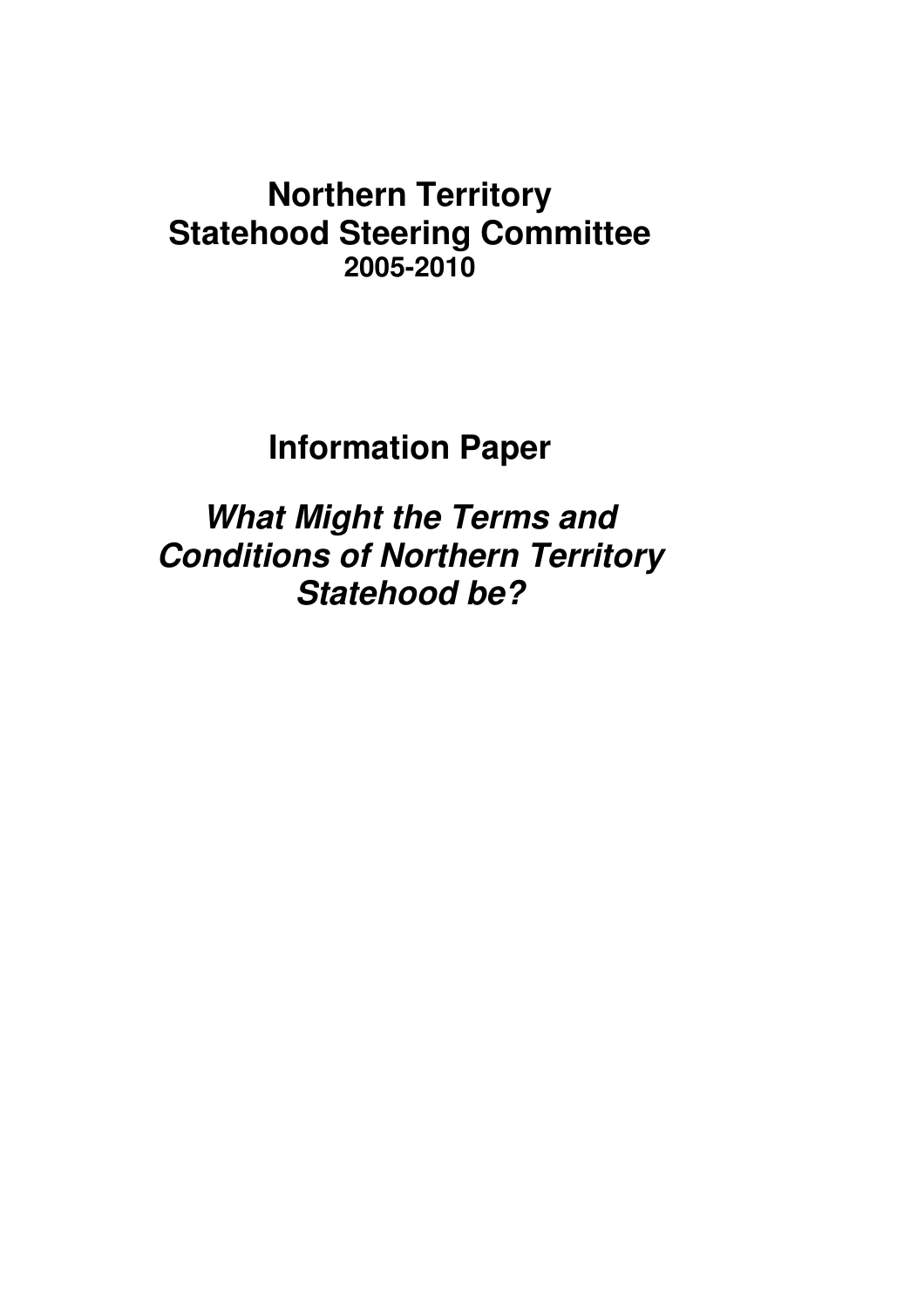# **Northern Territory Statehood Steering Committee 2005-2010**

**Information Paper** 

**What Might the Terms and Conditions of Northern Territory Statehood be?**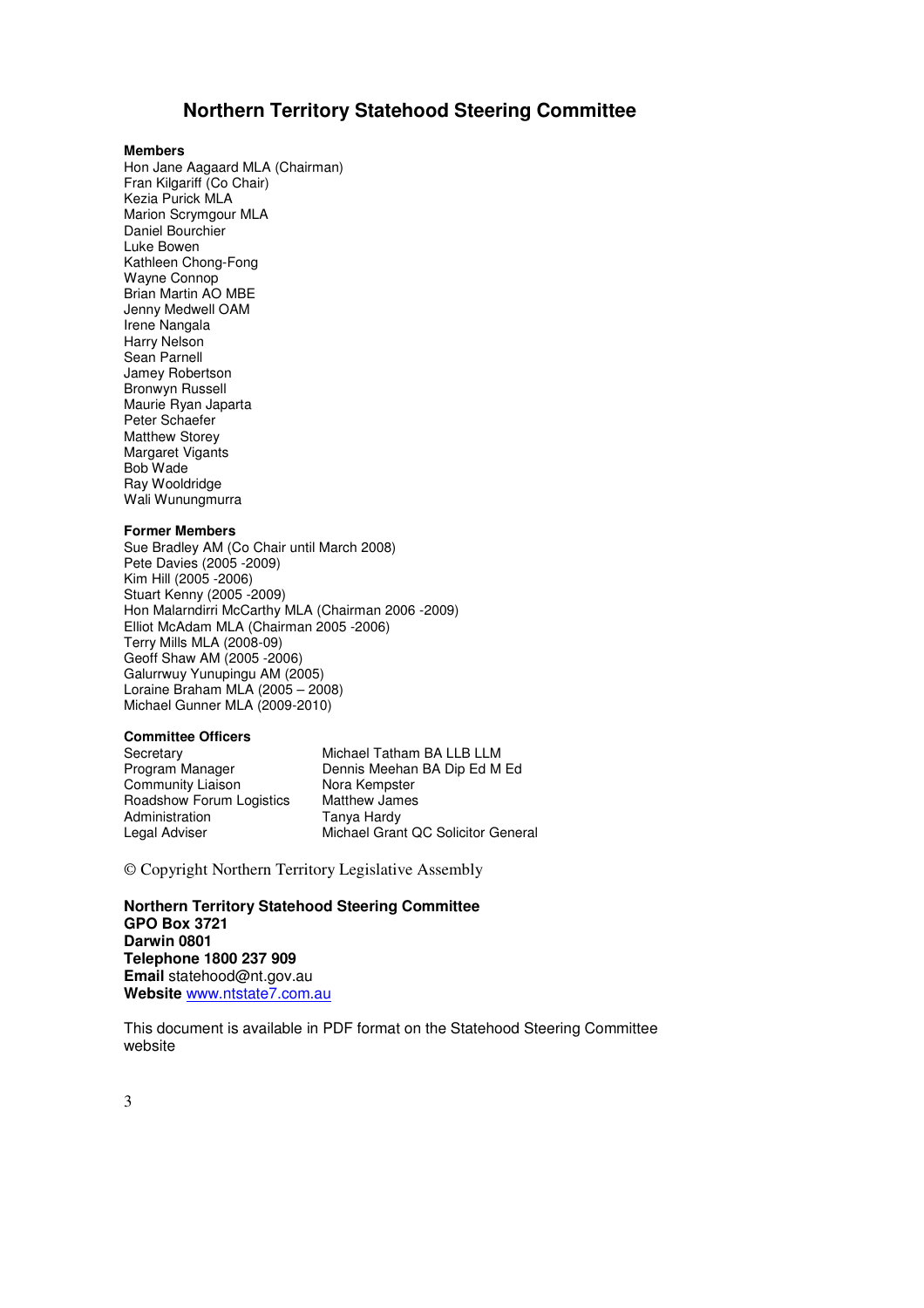### **Northern Territory Statehood Steering Committee**

#### **Members**

Hon Jane Aagaard MLA (Chairman) Fran Kilgariff (Co Chair) Kezia Purick MLA Marion Scrymgour MLA Daniel Bourchier Luke Bowen Kathleen Chong-Fong Wayne Connop Brian Martin AO MBE Jenny Medwell OAM Irene Nangala Harry Nelson Sean Parnell Jamey Robertson Bronwyn Russell Maurie Ryan Japarta Peter Schaefer Matthew Storey Margaret Vigants Bob Wade Ray Wooldridge Wali Wunungmurra

#### **Former Members**

Sue Bradley AM (Co Chair until March 2008) Pete Davies (2005 -2009) Kim Hill (2005 -2006) Stuart Kenny (2005 -2009) Hon Malarndirri McCarthy MLA (Chairman 2006 -2009) Elliot McAdam MLA (Chairman 2005 -2006) Terry Mills MLA (2008-09) Geoff Shaw AM (2005 -2006) Galurrwuy Yunupingu AM (2005) Loraine Braham MLA  $(2005 - 2008)$ Michael Gunner MLA (2009-2010)

#### **Committee Officers**

Community Liaison<br>
Roadshow Forum Logistics

Matthew James Roadshow Forum Logistics<br>Administration

Secretary Michael Tatham BA LLB LLM<br>Program Manager Dennis Meehan BA Dip Ed M Dennis Meehan BA Dip Ed M Ed **Tanya Hardy** Legal Adviser Michael Grant QC Solicitor General

© Copyright Northern Territory Legislative Assembly

**Northern Territory Statehood Steering Committee GPO Box 3721 Darwin 0801 Telephone 1800 237 909 Email** statehood@nt.gov.au **Website** www.ntstate7.com.au

This document is available in PDF format on the Statehood Steering Committee website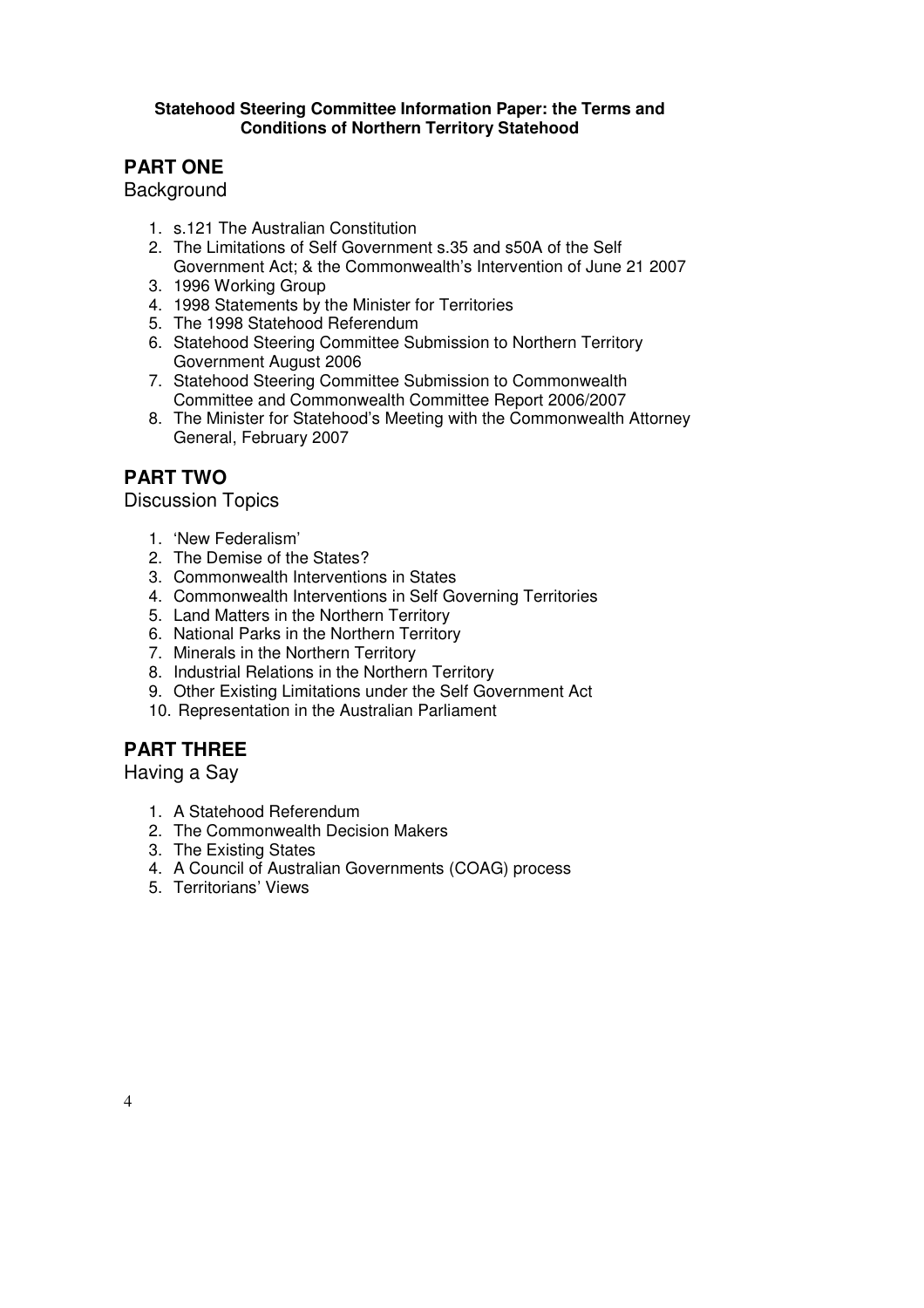### **Statehood Steering Committee Information Paper: the Terms and Conditions of Northern Territory Statehood**

# **PART ONE**

**Background** 

- 1. s.121 The Australian Constitution
- 2. The Limitations of Self Government s.35 and s50A of the Self Government Act; & the Commonwealth's Intervention of June 21 2007
- 3. 1996 Working Group
- 4. 1998 Statements by the Minister for Territories
- 5. The 1998 Statehood Referendum
- 6. Statehood Steering Committee Submission to Northern Territory Government August 2006
- 7. Statehood Steering Committee Submission to Commonwealth Committee and Commonwealth Committee Report 2006/2007
- 8. The Minister for Statehood's Meeting with the Commonwealth Attorney General, February 2007

## **PART TWO**

Discussion Topics

- 1. 'New Federalism'
- 2. The Demise of the States?
- 3. Commonwealth Interventions in States
- 4. Commonwealth Interventions in Self Governing Territories
- 5. Land Matters in the Northern Territory
- 6. National Parks in the Northern Territory
- 7. Minerals in the Northern Territory
- 8. Industrial Relations in the Northern Territory
- 9. Other Existing Limitations under the Self Government Act
- 10. Representation in the Australian Parliament

# **PART THREE**

Having a Say

- 1. A Statehood Referendum
- 2. The Commonwealth Decision Makers
- 3. The Existing States
- 4. A Council of Australian Governments (COAG) process
- 5. Territorians' Views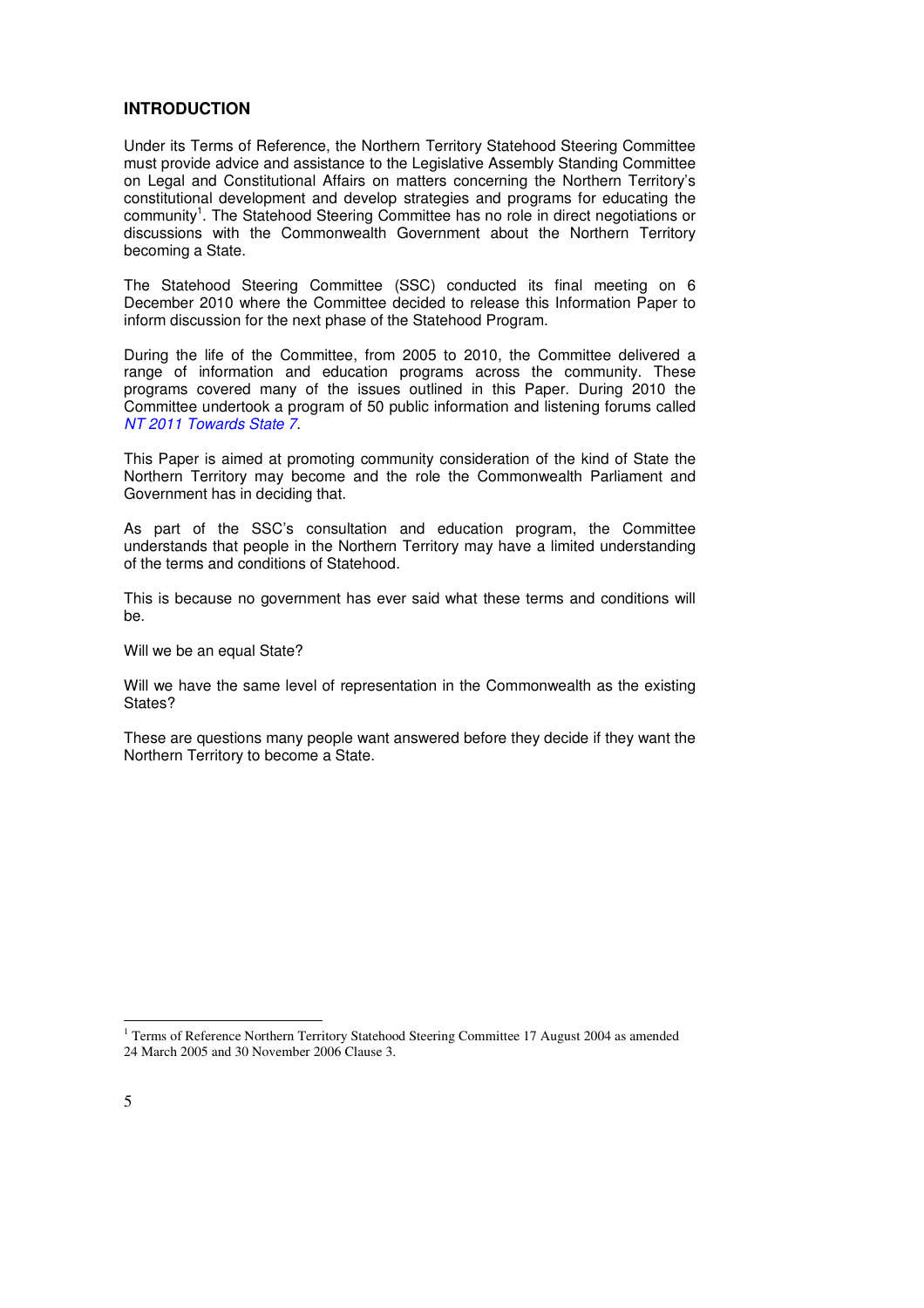### **INTRODUCTION**

Under its Terms of Reference, the Northern Territory Statehood Steering Committee must provide advice and assistance to the Legislative Assembly Standing Committee on Legal and Constitutional Affairs on matters concerning the Northern Territory's constitutional development and develop strategies and programs for educating the community<sup>1</sup>. The Statehood Steering Committee has no role in direct negotiations or discussions with the Commonwealth Government about the Northern Territory becoming a State.

The Statehood Steering Committee (SSC) conducted its final meeting on 6 December 2010 where the Committee decided to release this Information Paper to inform discussion for the next phase of the Statehood Program.

During the life of the Committee, from 2005 to 2010, the Committee delivered a range of information and education programs across the community. These programs covered many of the issues outlined in this Paper. During 2010 the Committee undertook a program of 50 public information and listening forums called NT 2011 Towards State 7.

This Paper is aimed at promoting community consideration of the kind of State the Northern Territory may become and the role the Commonwealth Parliament and Government has in deciding that.

As part of the SSC's consultation and education program, the Committee understands that people in the Northern Territory may have a limited understanding of the terms and conditions of Statehood.

This is because no government has ever said what these terms and conditions will be.

Will we be an equal State?

Will we have the same level of representation in the Commonwealth as the existing States?

These are questions many people want answered before they decide if they want the Northern Territory to become a State.

 1 Terms of Reference Northern Territory Statehood Steering Committee 17 August 2004 as amended 24 March 2005 and 30 November 2006 Clause 3.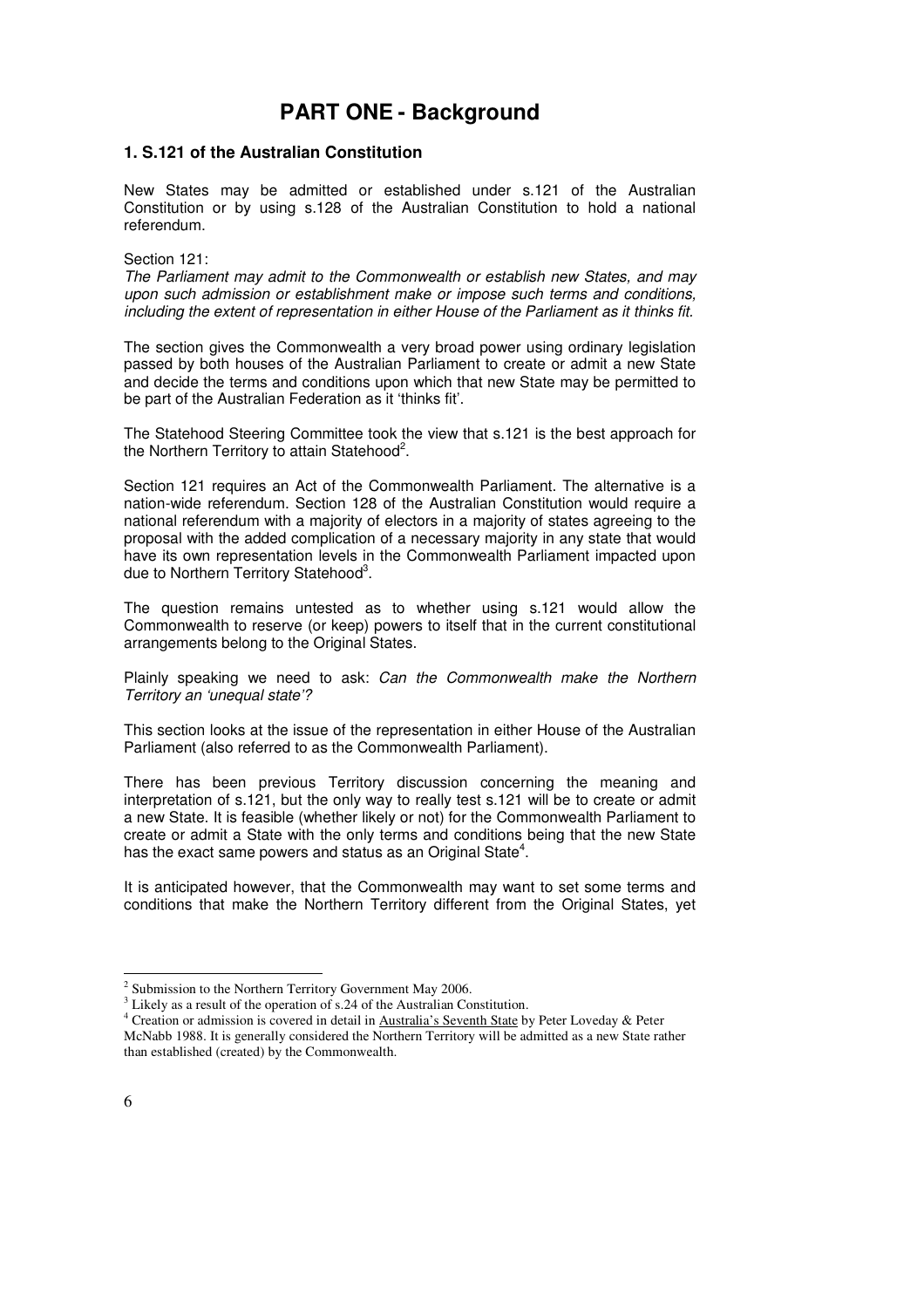# **PART ONE - Background**

### **1. S.121 of the Australian Constitution**

New States may be admitted or established under s.121 of the Australian Constitution or by using s.128 of the Australian Constitution to hold a national referendum.

#### Section 121:

The Parliament may admit to the Commonwealth or establish new States, and may upon such admission or establishment make or impose such terms and conditions, including the extent of representation in either House of the Parliament as it thinks fit.

The section gives the Commonwealth a very broad power using ordinary legislation passed by both houses of the Australian Parliament to create or admit a new State and decide the terms and conditions upon which that new State may be permitted to be part of the Australian Federation as it 'thinks fit'.

The Statehood Steering Committee took the view that s.121 is the best approach for the Northern Territory to attain Statehood<sup>2</sup>.

Section 121 requires an Act of the Commonwealth Parliament. The alternative is a nation-wide referendum. Section 128 of the Australian Constitution would require a national referendum with a majority of electors in a majority of states agreeing to the proposal with the added complication of a necessary majority in any state that would have its own representation levels in the Commonwealth Parliament impacted upon due to Northern Territory Statehood<sup>3</sup>.

The question remains untested as to whether using s.121 would allow the Commonwealth to reserve (or keep) powers to itself that in the current constitutional arrangements belong to the Original States.

Plainly speaking we need to ask: Can the Commonwealth make the Northern Territory an 'unequal state'?

This section looks at the issue of the representation in either House of the Australian Parliament (also referred to as the Commonwealth Parliament).

There has been previous Territory discussion concerning the meaning and interpretation of s.121, but the only way to really test s.121 will be to create or admit a new State. It is feasible (whether likely or not) for the Commonwealth Parliament to create or admit a State with the only terms and conditions being that the new State has the exact same powers and status as an Original State<sup>4</sup>.

It is anticipated however, that the Commonwealth may want to set some terms and conditions that make the Northern Territory different from the Original States, yet

 $2$  Submission to the Northern Territory Government May 2006.

<sup>&</sup>lt;sup>3</sup> Likely as a result of the operation of s.24 of the Australian Constitution.

<sup>&</sup>lt;sup>4</sup> Creation or admission is covered in detail in Australia's Seventh State by Peter Loveday & Peter McNabb 1988. It is generally considered the Northern Territory will be admitted as a new State rather than established (created) by the Commonwealth.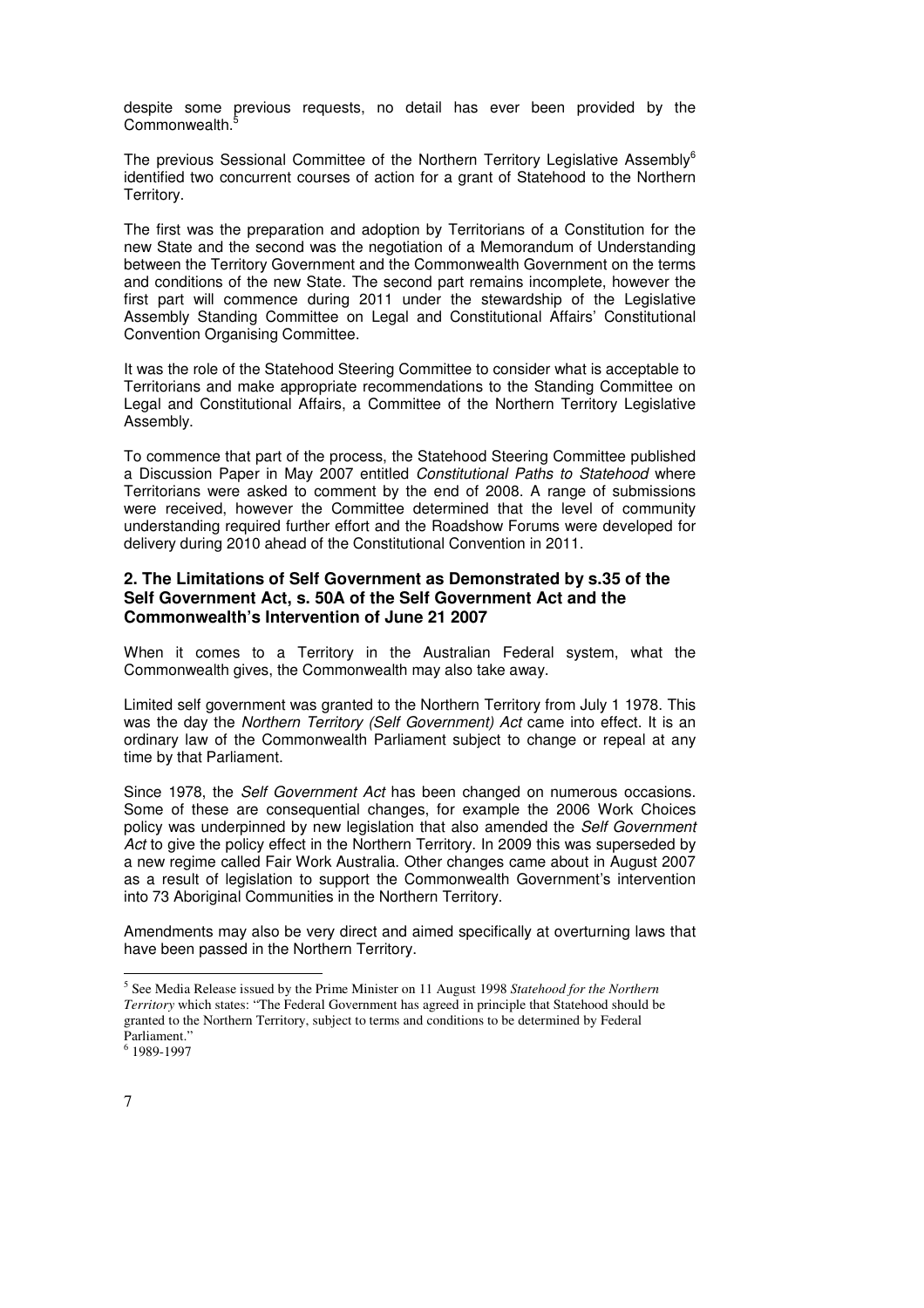despite some previous requests, no detail has ever been provided by the Commonwealth.

The previous Sessional Committee of the Northern Territory Legislative Assembly<sup>6</sup> identified two concurrent courses of action for a grant of Statehood to the Northern Territory.

The first was the preparation and adoption by Territorians of a Constitution for the new State and the second was the negotiation of a Memorandum of Understanding between the Territory Government and the Commonwealth Government on the terms and conditions of the new State. The second part remains incomplete, however the first part will commence during 2011 under the stewardship of the Legislative Assembly Standing Committee on Legal and Constitutional Affairs' Constitutional Convention Organising Committee.

It was the role of the Statehood Steering Committee to consider what is acceptable to Territorians and make appropriate recommendations to the Standing Committee on Legal and Constitutional Affairs, a Committee of the Northern Territory Legislative Assembly.

To commence that part of the process, the Statehood Steering Committee published a Discussion Paper in May 2007 entitled Constitutional Paths to Statehood where Territorians were asked to comment by the end of 2008. A range of submissions were received, however the Committee determined that the level of community understanding required further effort and the Roadshow Forums were developed for delivery during 2010 ahead of the Constitutional Convention in 2011.

### **2. The Limitations of Self Government as Demonstrated by s.35 of the Self Government Act, s. 50A of the Self Government Act and the Commonwealth's Intervention of June 21 2007**

When it comes to a Territory in the Australian Federal system, what the Commonwealth gives, the Commonwealth may also take away.

Limited self government was granted to the Northern Territory from July 1 1978. This was the day the Northern Territory (Self Government) Act came into effect. It is an ordinary law of the Commonwealth Parliament subject to change or repeal at any time by that Parliament.

Since 1978, the Self Government Act has been changed on numerous occasions. Some of these are consequential changes, for example the 2006 Work Choices policy was underpinned by new legislation that also amended the Self Government Act to give the policy effect in the Northern Territory. In 2009 this was superseded by a new regime called Fair Work Australia. Other changes came about in August 2007 as a result of legislation to support the Commonwealth Government's intervention into 73 Aboriginal Communities in the Northern Territory.

Amendments may also be very direct and aimed specifically at overturning laws that have been passed in the Northern Territory.

<sup>5</sup> See Media Release issued by the Prime Minister on 11 August 1998 *Statehood for the Northern Territory* which states: "The Federal Government has agreed in principle that Statehood should be granted to the Northern Territory, subject to terms and conditions to be determined by Federal Parliament."

<sup>6</sup> 1989-1997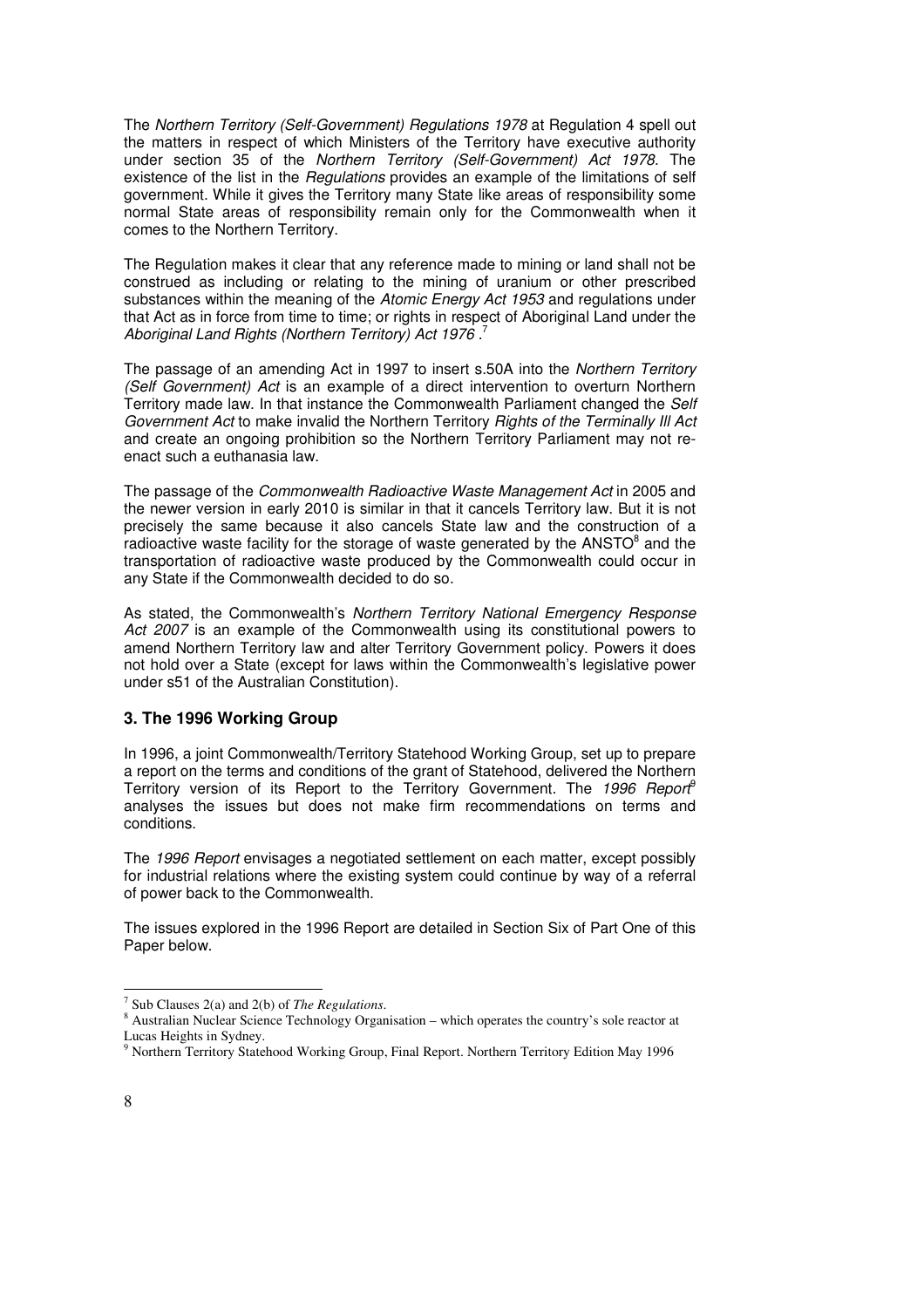The Northern Territory (Self-Government) Regulations 1978 at Regulation 4 spell out the matters in respect of which Ministers of the Territory have executive authority under section 35 of the Northern Territory (Self-Government) Act 1978. The existence of the list in the *Regulations* provides an example of the limitations of self government. While it gives the Territory many State like areas of responsibility some normal State areas of responsibility remain only for the Commonwealth when it comes to the Northern Territory.

The Regulation makes it clear that any reference made to mining or land shall not be construed as including or relating to the mining of uranium or other prescribed substances within the meaning of the Atomic Energy Act 1953 and regulations under that Act as in force from time to time; or rights in respect of Aboriginal Land under the Aboriginal Land Rights (Northern Territory) Act 1976.<sup>7</sup>

The passage of an amending Act in 1997 to insert s.50A into the Northern Territory (Self Government) Act is an example of a direct intervention to overturn Northern Territory made law. In that instance the Commonwealth Parliament changed the Self Government Act to make invalid the Northern Territory Rights of the Terminally III Act and create an ongoing prohibition so the Northern Territory Parliament may not reenact such a euthanasia law.

The passage of the Commonwealth Radioactive Waste Management Act in 2005 and the newer version in early 2010 is similar in that it cancels Territory law. But it is not precisely the same because it also cancels State law and the construction of a radioactive waste facility for the storage of waste generated by the ANSTO $^8$  and the transportation of radioactive waste produced by the Commonwealth could occur in any State if the Commonwealth decided to do so.

As stated, the Commonwealth's Northern Territory National Emergency Response Act 2007 is an example of the Commonwealth using its constitutional powers to amend Northern Territory law and alter Territory Government policy. Powers it does not hold over a State (except for laws within the Commonwealth's legislative power under s51 of the Australian Constitution).

### **3. The 1996 Working Group**

In 1996, a joint Commonwealth/Territory Statehood Working Group, set up to prepare a report on the terms and conditions of the grant of Statehood, delivered the Northern Territory version of its Report to the Territory Government. The 1996 Report<sup>9</sup> analyses the issues but does not make firm recommendations on terms and conditions.

The 1996 Report envisages a negotiated settlement on each matter, except possibly for industrial relations where the existing system could continue by way of a referral of power back to the Commonwealth.

The issues explored in the 1996 Report are detailed in Section Six of Part One of this Paper below.

<sup>7</sup> Sub Clauses 2(a) and 2(b) of *The Regulations*.

<sup>&</sup>lt;sup>8</sup> Australian Nuclear Science Technology Organisation – which operates the country's sole reactor at Lucas Heights in Sydney.

<sup>&</sup>lt;sup>9</sup> Northern Territory Statehood Working Group, Final Report. Northern Territory Edition May 1996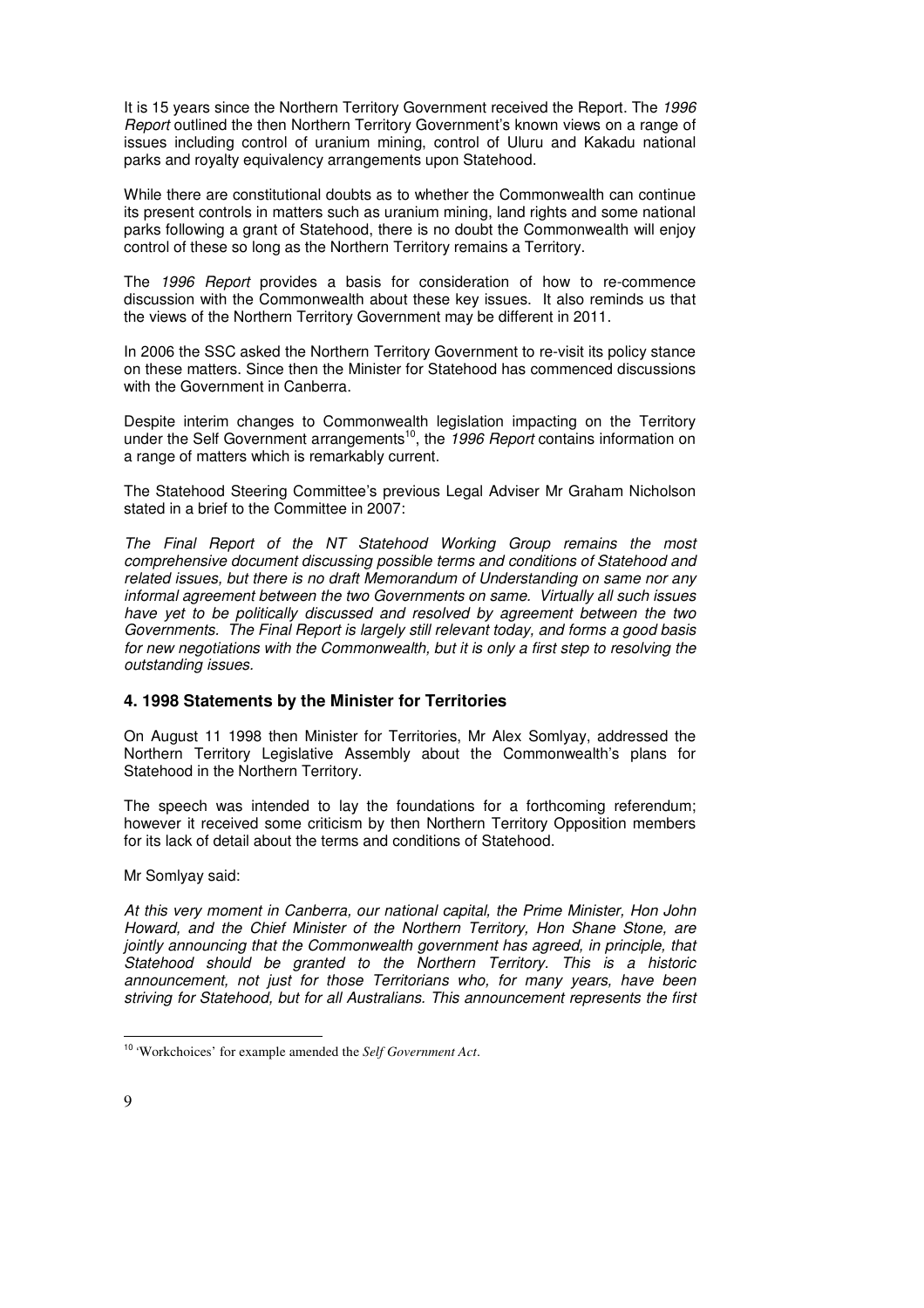It is 15 years since the Northern Territory Government received the Report. The 1996 Report outlined the then Northern Territory Government's known views on a range of issues including control of uranium mining, control of Uluru and Kakadu national parks and royalty equivalency arrangements upon Statehood.

While there are constitutional doubts as to whether the Commonwealth can continue its present controls in matters such as uranium mining, land rights and some national parks following a grant of Statehood, there is no doubt the Commonwealth will enjoy control of these so long as the Northern Territory remains a Territory.

The 1996 Report provides a basis for consideration of how to re-commence discussion with the Commonwealth about these key issues. It also reminds us that the views of the Northern Territory Government may be different in 2011.

In 2006 the SSC asked the Northern Territory Government to re-visit its policy stance on these matters. Since then the Minister for Statehood has commenced discussions with the Government in Canberra.

Despite interim changes to Commonwealth legislation impacting on the Territory under the Self Government arrangements<sup>10</sup>, the 1996 Report contains information on a range of matters which is remarkably current.

The Statehood Steering Committee's previous Legal Adviser Mr Graham Nicholson stated in a brief to the Committee in 2007:

The Final Report of the NT Statehood Working Group remains the most comprehensive document discussing possible terms and conditions of Statehood and related issues, but there is no draft Memorandum of Understanding on same nor any informal agreement between the two Governments on same. Virtually all such issues have yet to be politically discussed and resolved by agreement between the two Governments. The Final Report is largely still relevant today, and forms a good basis for new negotiations with the Commonwealth, but it is only a first step to resolving the outstanding issues.

### **4. 1998 Statements by the Minister for Territories**

On August 11 1998 then Minister for Territories, Mr Alex Somlyay, addressed the Northern Territory Legislative Assembly about the Commonwealth's plans for Statehood in the Northern Territory.

The speech was intended to lay the foundations for a forthcoming referendum; however it received some criticism by then Northern Territory Opposition members for its lack of detail about the terms and conditions of Statehood.

Mr Somlyay said:

At this very moment in Canberra, our national capital, the Prime Minister, Hon John Howard, and the Chief Minister of the Northern Territory, Hon Shane Stone, are jointly announcing that the Commonwealth government has agreed, in principle, that Statehood should be granted to the Northern Territory. This is a historic announcement, not just for those Territorians who, for many years, have been striving for Statehood, but for all Australians. This announcement represents the first

<sup>-</sup><sup>10</sup> 'Workchoices' for example amended the *Self Government Act*.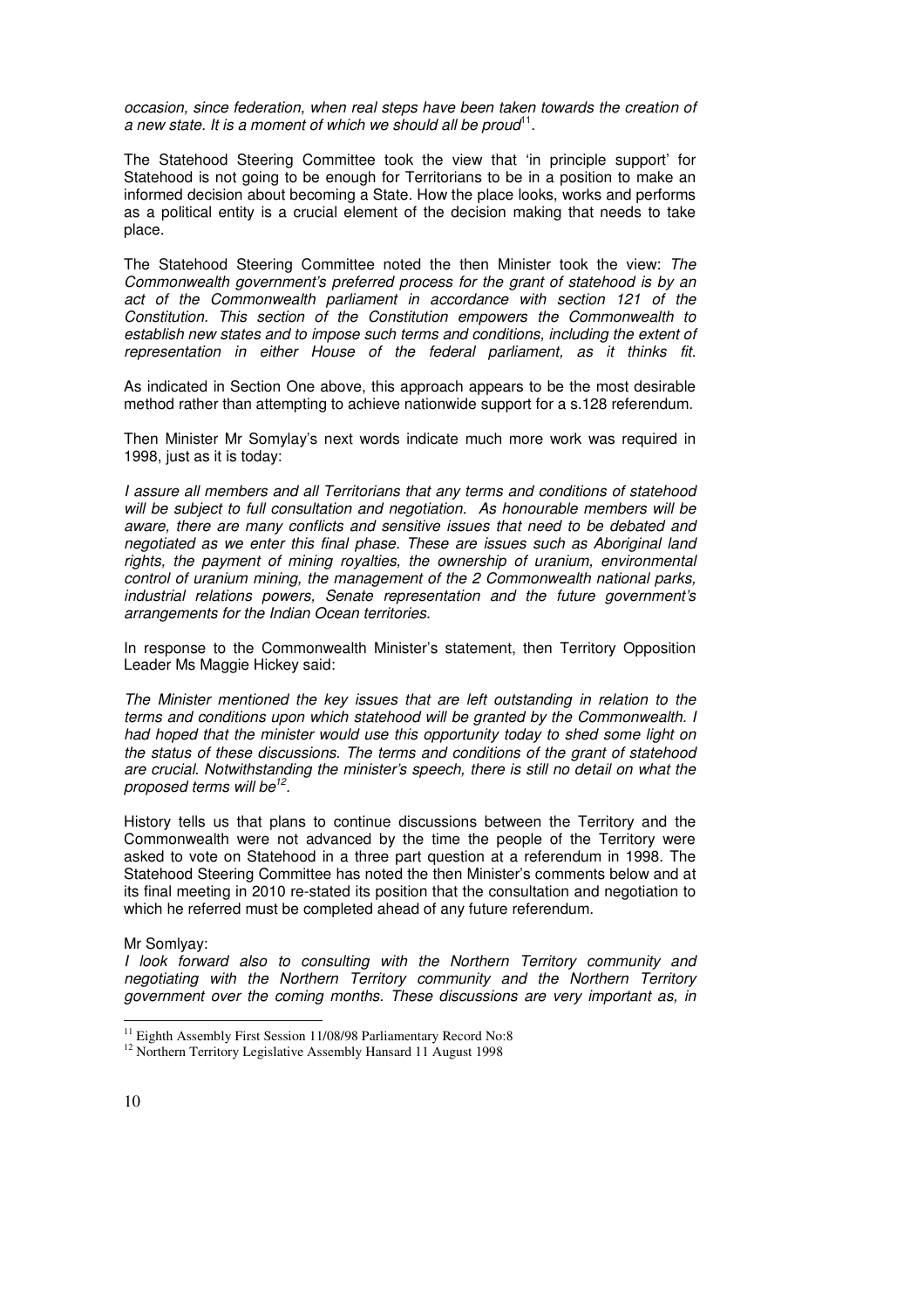occasion, since federation, when real steps have been taken towards the creation of a new state. It is a moment of which we should all be proud $11$ .

The Statehood Steering Committee took the view that 'in principle support' for Statehood is not going to be enough for Territorians to be in a position to make an informed decision about becoming a State. How the place looks, works and performs as a political entity is a crucial element of the decision making that needs to take place.

The Statehood Steering Committee noted the then Minister took the view: The Commonwealth government's preferred process for the grant of statehood is by an act of the Commonwealth parliament in accordance with section 121 of the Constitution. This section of the Constitution empowers the Commonwealth to establish new states and to impose such terms and conditions, including the extent of representation in either House of the federal parliament, as it thinks fit.

As indicated in Section One above, this approach appears to be the most desirable method rather than attempting to achieve nationwide support for a s.128 referendum.

Then Minister Mr Somylay's next words indicate much more work was required in 1998, just as it is today:

I assure all members and all Territorians that any terms and conditions of statehood will be subject to full consultation and negotiation. As honourable members will be aware, there are many conflicts and sensitive issues that need to be debated and negotiated as we enter this final phase. These are issues such as Aboriginal land rights, the payment of mining royalties, the ownership of uranium, environmental control of uranium mining, the management of the 2 Commonwealth national parks, industrial relations powers, Senate representation and the future government's arrangements for the Indian Ocean territories.

In response to the Commonwealth Minister's statement, then Territory Opposition Leader Ms Maggie Hickey said:

The Minister mentioned the key issues that are left outstanding in relation to the terms and conditions upon which statehood will be granted by the Commonwealth. I had hoped that the minister would use this opportunity today to shed some light on the status of these discussions. The terms and conditions of the grant of statehood are crucial. Notwithstanding the minister's speech, there is still no detail on what the proposed terms will be<sup>12</sup>.

History tells us that plans to continue discussions between the Territory and the Commonwealth were not advanced by the time the people of the Territory were asked to vote on Statehood in a three part question at a referendum in 1998. The Statehood Steering Committee has noted the then Minister's comments below and at its final meeting in 2010 re-stated its position that the consultation and negotiation to which he referred must be completed ahead of any future referendum.

#### Mr Somlyay:

I look forward also to consulting with the Northern Territory community and negotiating with the Northern Territory community and the Northern Territory government over the coming months. These discussions are very important as, in

**.** 

<sup>&</sup>lt;sup>11</sup> Eighth Assembly First Session 11/08/98 Parliamentary Record No:8

<sup>&</sup>lt;sup>12</sup> Northern Territory Legislative Assembly Hansard 11 August 1998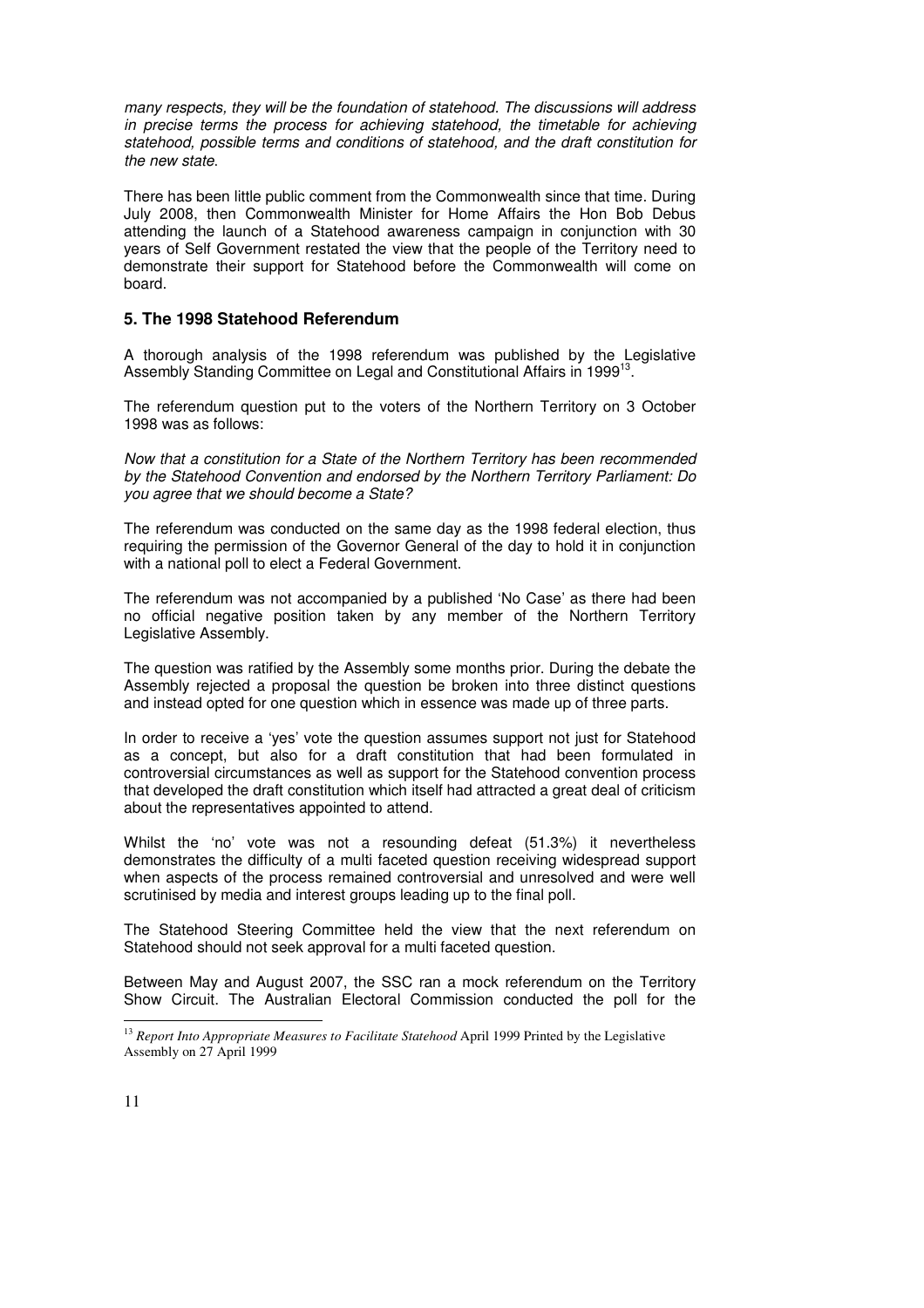many respects, they will be the foundation of statehood. The discussions will address in precise terms the process for achieving statehood, the timetable for achieving statehood, possible terms and conditions of statehood, and the draft constitution for the new state.

There has been little public comment from the Commonwealth since that time. During July 2008, then Commonwealth Minister for Home Affairs the Hon Bob Debus attending the launch of a Statehood awareness campaign in conjunction with 30 years of Self Government restated the view that the people of the Territory need to demonstrate their support for Statehood before the Commonwealth will come on board.

### **5. The 1998 Statehood Referendum**

A thorough analysis of the 1998 referendum was published by the Legislative Assembly Standing Committee on Legal and Constitutional Affairs in 1999<sup>13</sup>.

The referendum question put to the voters of the Northern Territory on 3 October 1998 was as follows:

Now that a constitution for a State of the Northern Territory has been recommended by the Statehood Convention and endorsed by the Northern Territory Parliament: Do you agree that we should become a State?

The referendum was conducted on the same day as the 1998 federal election, thus requiring the permission of the Governor General of the day to hold it in conjunction with a national poll to elect a Federal Government.

The referendum was not accompanied by a published 'No Case' as there had been no official negative position taken by any member of the Northern Territory Legislative Assembly.

The question was ratified by the Assembly some months prior. During the debate the Assembly rejected a proposal the question be broken into three distinct questions and instead opted for one question which in essence was made up of three parts.

In order to receive a 'yes' vote the question assumes support not just for Statehood as a concept, but also for a draft constitution that had been formulated in controversial circumstances as well as support for the Statehood convention process that developed the draft constitution which itself had attracted a great deal of criticism about the representatives appointed to attend.

Whilst the 'no' vote was not a resounding defeat (51.3%) it nevertheless demonstrates the difficulty of a multi faceted question receiving widespread support when aspects of the process remained controversial and unresolved and were well scrutinised by media and interest groups leading up to the final poll.

The Statehood Steering Committee held the view that the next referendum on Statehood should not seek approval for a multi faceted question.

Between May and August 2007, the SSC ran a mock referendum on the Territory Show Circuit. The Australian Electoral Commission conducted the poll for the

**.** 

<sup>&</sup>lt;sup>13</sup> Report Into Appropriate Measures to Facilitate Statehood April 1999 Printed by the Legislative Assembly on 27 April 1999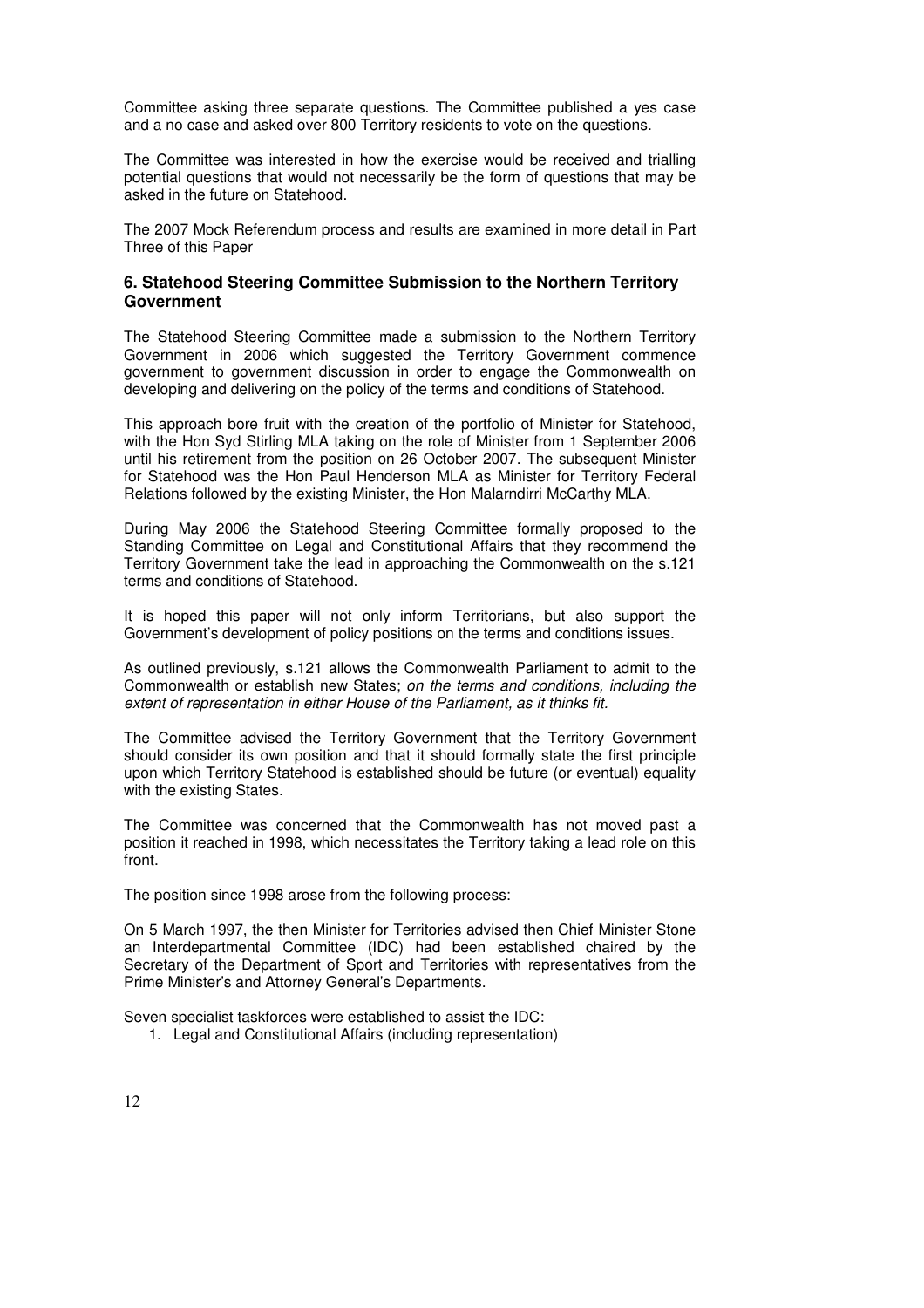Committee asking three separate questions. The Committee published a yes case and a no case and asked over 800 Territory residents to vote on the questions.

The Committee was interested in how the exercise would be received and trialling potential questions that would not necessarily be the form of questions that may be asked in the future on Statehood.

The 2007 Mock Referendum process and results are examined in more detail in Part Three of this Paper

### **6. Statehood Steering Committee Submission to the Northern Territory Government**

The Statehood Steering Committee made a submission to the Northern Territory Government in 2006 which suggested the Territory Government commence government to government discussion in order to engage the Commonwealth on developing and delivering on the policy of the terms and conditions of Statehood.

This approach bore fruit with the creation of the portfolio of Minister for Statehood, with the Hon Syd Stirling MLA taking on the role of Minister from 1 September 2006 until his retirement from the position on 26 October 2007. The subsequent Minister for Statehood was the Hon Paul Henderson MLA as Minister for Territory Federal Relations followed by the existing Minister, the Hon Malarndirri McCarthy MLA.

During May 2006 the Statehood Steering Committee formally proposed to the Standing Committee on Legal and Constitutional Affairs that they recommend the Territory Government take the lead in approaching the Commonwealth on the s.121 terms and conditions of Statehood.

It is hoped this paper will not only inform Territorians, but also support the Government's development of policy positions on the terms and conditions issues.

As outlined previously, s.121 allows the Commonwealth Parliament to admit to the Commonwealth or establish new States; on the terms and conditions, including the extent of representation in either House of the Parliament, as it thinks fit.

The Committee advised the Territory Government that the Territory Government should consider its own position and that it should formally state the first principle upon which Territory Statehood is established should be future (or eventual) equality with the existing States.

The Committee was concerned that the Commonwealth has not moved past a position it reached in 1998, which necessitates the Territory taking a lead role on this front.

The position since 1998 arose from the following process:

On 5 March 1997, the then Minister for Territories advised then Chief Minister Stone an Interdepartmental Committee (IDC) had been established chaired by the Secretary of the Department of Sport and Territories with representatives from the Prime Minister's and Attorney General's Departments.

Seven specialist taskforces were established to assist the IDC:

1. Legal and Constitutional Affairs (including representation)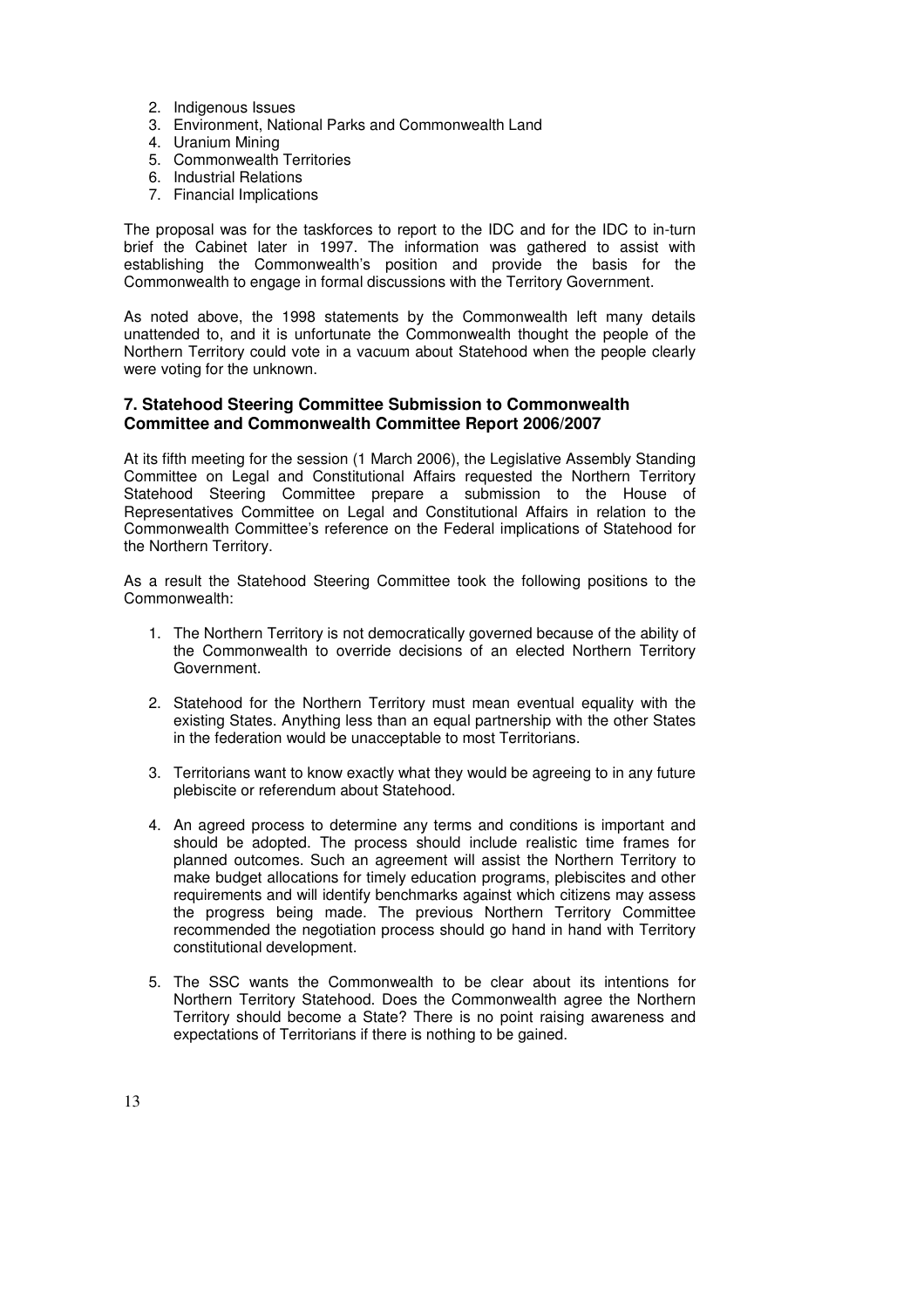- 2. Indigenous Issues
- 3. Environment, National Parks and Commonwealth Land
- 4. Uranium Mining
- 5. Commonwealth Territories
- 6. Industrial Relations
- 7. Financial Implications

The proposal was for the taskforces to report to the IDC and for the IDC to in-turn brief the Cabinet later in 1997. The information was gathered to assist with establishing the Commonwealth's position and provide the basis for the Commonwealth to engage in formal discussions with the Territory Government.

As noted above, the 1998 statements by the Commonwealth left many details unattended to, and it is unfortunate the Commonwealth thought the people of the Northern Territory could vote in a vacuum about Statehood when the people clearly were voting for the unknown.

### **7. Statehood Steering Committee Submission to Commonwealth Committee and Commonwealth Committee Report 2006/2007**

At its fifth meeting for the session (1 March 2006), the Legislative Assembly Standing Committee on Legal and Constitutional Affairs requested the Northern Territory Statehood Steering Committee prepare a submission to the House of Representatives Committee on Legal and Constitutional Affairs in relation to the Commonwealth Committee's reference on the Federal implications of Statehood for the Northern Territory.

As a result the Statehood Steering Committee took the following positions to the Commonwealth:

- 1. The Northern Territory is not democratically governed because of the ability of the Commonwealth to override decisions of an elected Northern Territory Government.
- 2. Statehood for the Northern Territory must mean eventual equality with the existing States. Anything less than an equal partnership with the other States in the federation would be unacceptable to most Territorians.
- 3. Territorians want to know exactly what they would be agreeing to in any future plebiscite or referendum about Statehood.
- 4. An agreed process to determine any terms and conditions is important and should be adopted. The process should include realistic time frames for planned outcomes. Such an agreement will assist the Northern Territory to make budget allocations for timely education programs, plebiscites and other requirements and will identify benchmarks against which citizens may assess the progress being made. The previous Northern Territory Committee recommended the negotiation process should go hand in hand with Territory constitutional development.
- 5. The SSC wants the Commonwealth to be clear about its intentions for Northern Territory Statehood. Does the Commonwealth agree the Northern Territory should become a State? There is no point raising awareness and expectations of Territorians if there is nothing to be gained.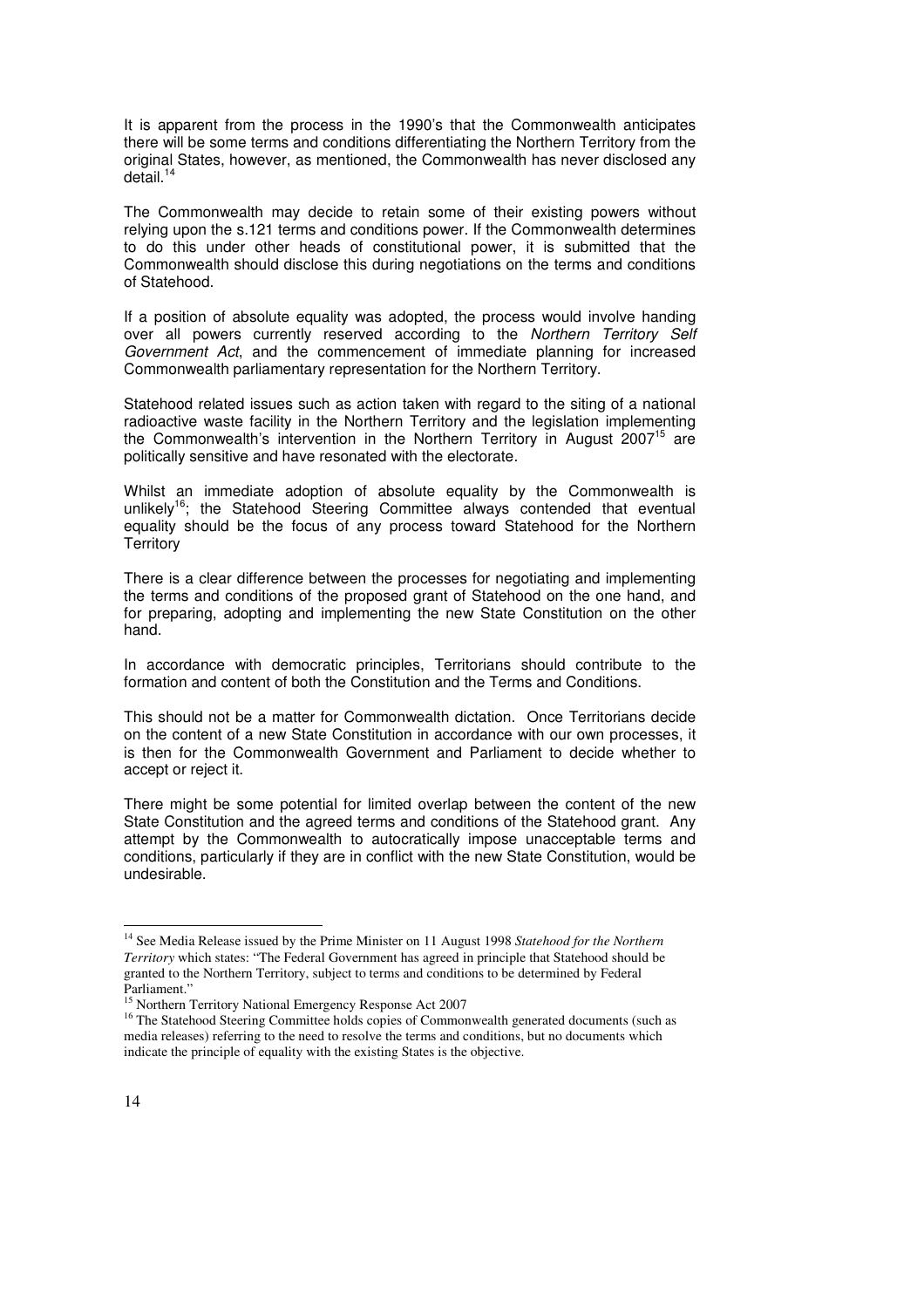It is apparent from the process in the 1990's that the Commonwealth anticipates there will be some terms and conditions differentiating the Northern Territory from the original States, however, as mentioned, the Commonwealth has never disclosed any  $detail.<sup>14</sup>$ 

The Commonwealth may decide to retain some of their existing powers without relying upon the s.121 terms and conditions power. If the Commonwealth determines to do this under other heads of constitutional power, it is submitted that the Commonwealth should disclose this during negotiations on the terms and conditions of Statehood.

If a position of absolute equality was adopted, the process would involve handing over all powers currently reserved according to the Northern Territory Self Government Act, and the commencement of immediate planning for increased Commonwealth parliamentary representation for the Northern Territory.

Statehood related issues such as action taken with regard to the siting of a national radioactive waste facility in the Northern Territory and the legislation implementing the Commonwealth's intervention in the Northern Territory in August 2007<sup>15</sup> are politically sensitive and have resonated with the electorate.

Whilst an immediate adoption of absolute equality by the Commonwealth is unlikely<sup>16</sup>; the Statehood Steering Committee always contended that eventual equality should be the focus of any process toward Statehood for the Northern **Territory** 

There is a clear difference between the processes for negotiating and implementing the terms and conditions of the proposed grant of Statehood on the one hand, and for preparing, adopting and implementing the new State Constitution on the other hand.

In accordance with democratic principles, Territorians should contribute to the formation and content of both the Constitution and the Terms and Conditions.

This should not be a matter for Commonwealth dictation. Once Territorians decide on the content of a new State Constitution in accordance with our own processes, it is then for the Commonwealth Government and Parliament to decide whether to accept or reject it.

There might be some potential for limited overlap between the content of the new State Constitution and the agreed terms and conditions of the Statehood grant. Any attempt by the Commonwealth to autocratically impose unacceptable terms and conditions, particularly if they are in conflict with the new State Constitution, would be undesirable.

**.** 

<sup>14</sup> See Media Release issued by the Prime Minister on 11 August 1998 *Statehood for the Northern Territory* which states: "The Federal Government has agreed in principle that Statehood should be granted to the Northern Territory, subject to terms and conditions to be determined by Federal Parliament."

<sup>&</sup>lt;sup>15</sup> Northern Territory National Emergency Response Act 2007

<sup>&</sup>lt;sup>16</sup> The Statehood Steering Committee holds copies of Commonwealth generated documents (such as media releases) referring to the need to resolve the terms and conditions, but no documents which indicate the principle of equality with the existing States is the objective.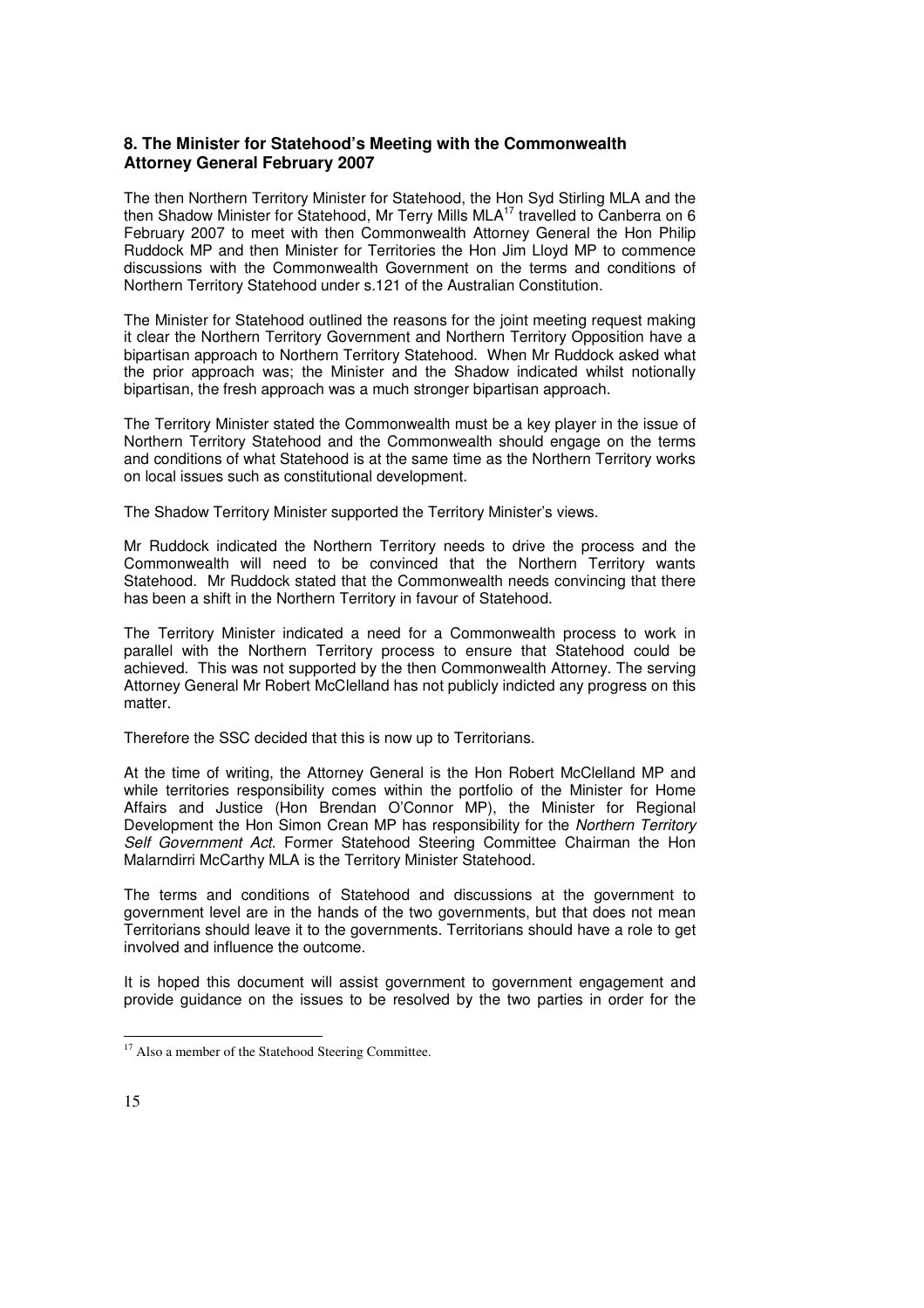### **8. The Minister for Statehood's Meeting with the Commonwealth Attorney General February 2007**

The then Northern Territory Minister for Statehood, the Hon Syd Stirling MLA and the then Shadow Minister for Statehood, Mr Terry Mills MLA<sup>17</sup> travelled to Canberra on 6 February 2007 to meet with then Commonwealth Attorney General the Hon Philip Ruddock MP and then Minister for Territories the Hon Jim Lloyd MP to commence discussions with the Commonwealth Government on the terms and conditions of Northern Territory Statehood under s.121 of the Australian Constitution.

The Minister for Statehood outlined the reasons for the joint meeting request making it clear the Northern Territory Government and Northern Territory Opposition have a bipartisan approach to Northern Territory Statehood. When Mr Ruddock asked what the prior approach was; the Minister and the Shadow indicated whilst notionally bipartisan, the fresh approach was a much stronger bipartisan approach.

The Territory Minister stated the Commonwealth must be a key player in the issue of Northern Territory Statehood and the Commonwealth should engage on the terms and conditions of what Statehood is at the same time as the Northern Territory works on local issues such as constitutional development.

The Shadow Territory Minister supported the Territory Minister's views.

Mr Ruddock indicated the Northern Territory needs to drive the process and the Commonwealth will need to be convinced that the Northern Territory wants Statehood. Mr Ruddock stated that the Commonwealth needs convincing that there has been a shift in the Northern Territory in favour of Statehood.

The Territory Minister indicated a need for a Commonwealth process to work in parallel with the Northern Territory process to ensure that Statehood could be achieved. This was not supported by the then Commonwealth Attorney. The serving Attorney General Mr Robert McClelland has not publicly indicted any progress on this matter.

Therefore the SSC decided that this is now up to Territorians.

At the time of writing, the Attorney General is the Hon Robert McClelland MP and while territories responsibility comes within the portfolio of the Minister for Home Affairs and Justice (Hon Brendan O'Connor MP), the Minister for Regional Development the Hon Simon Crean MP has responsibility for the Northern Territory Self Government Act. Former Statehood Steering Committee Chairman the Hon Malarndirri McCarthy MLA is the Territory Minister Statehood.

The terms and conditions of Statehood and discussions at the government to government level are in the hands of the two governments, but that does not mean Territorians should leave it to the governments. Territorians should have a role to get involved and influence the outcome.

It is hoped this document will assist government to government engagement and provide guidance on the issues to be resolved by the two parties in order for the

<sup>&</sup>lt;sup>17</sup> Also a member of the Statehood Steering Committee.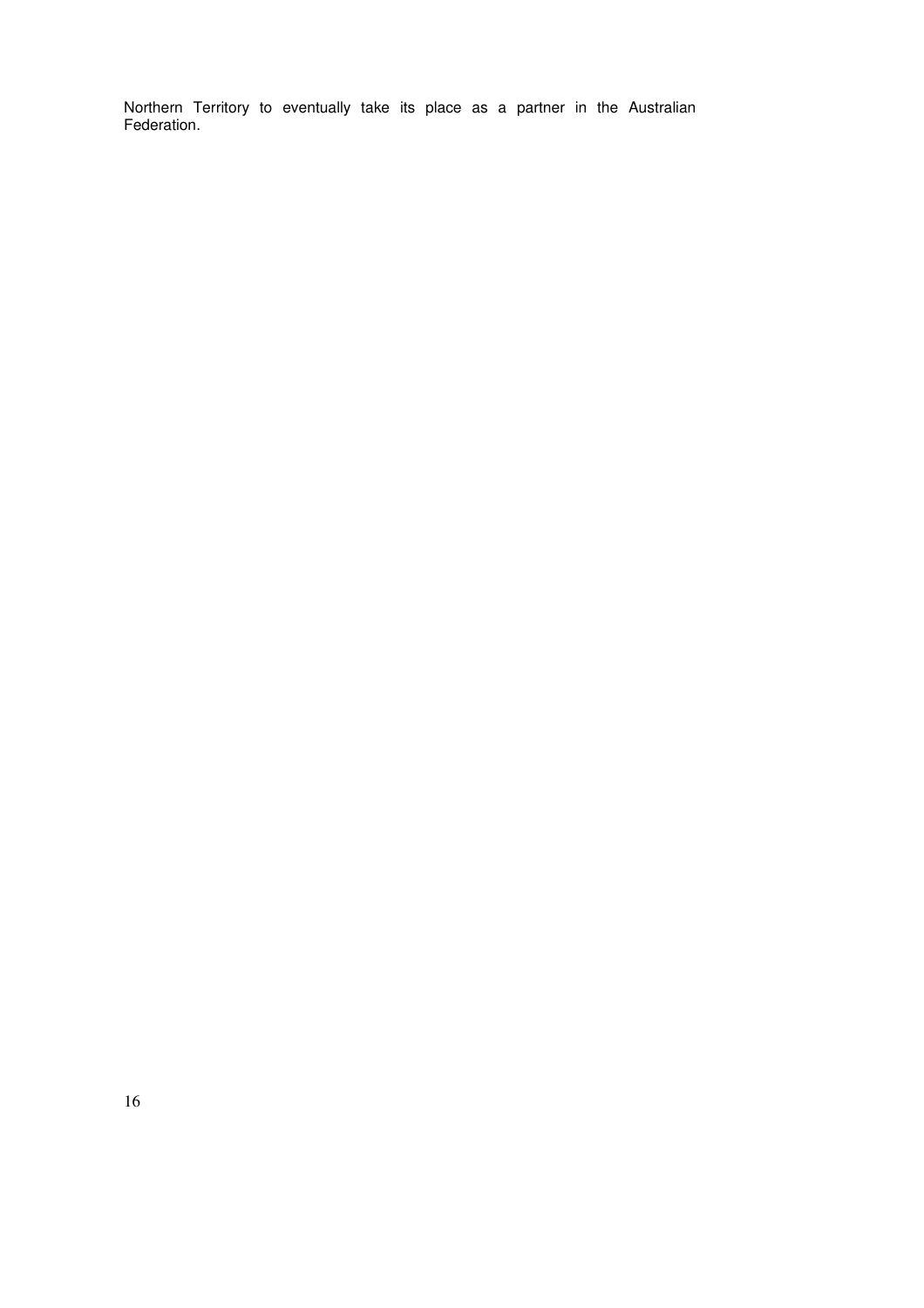Northern Territory to eventually take its place as a partner in the Australian Federation.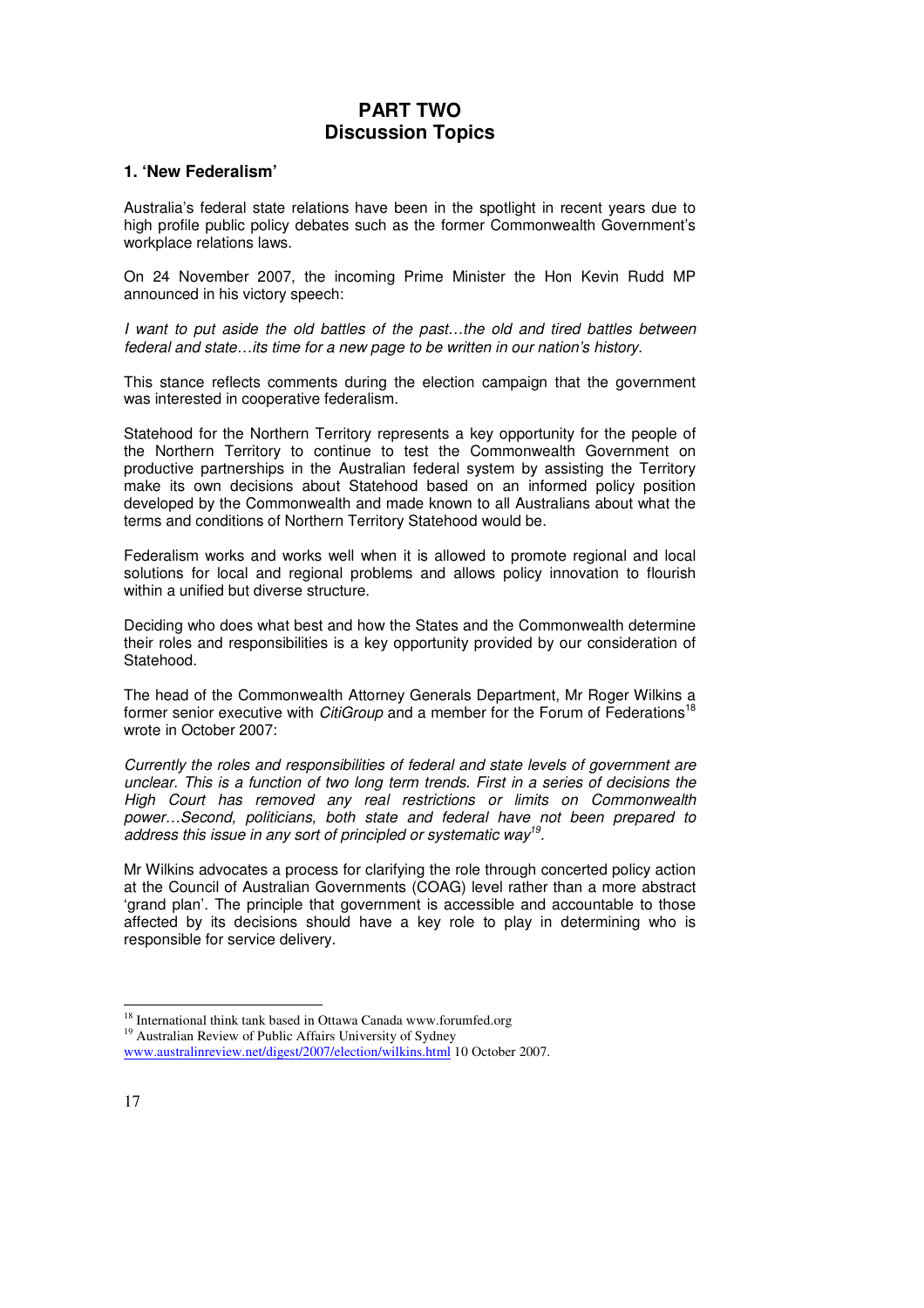### **PART TWO Discussion Topics**

### **1. 'New Federalism'**

Australia's federal state relations have been in the spotlight in recent years due to high profile public policy debates such as the former Commonwealth Government's workplace relations laws.

On 24 November 2007, the incoming Prime Minister the Hon Kevin Rudd MP announced in his victory speech:

I want to put aside the old battles of the past…the old and tired battles between federal and state…its time for a new page to be written in our nation's history.

This stance reflects comments during the election campaign that the government was interested in cooperative federalism.

Statehood for the Northern Territory represents a key opportunity for the people of the Northern Territory to continue to test the Commonwealth Government on productive partnerships in the Australian federal system by assisting the Territory make its own decisions about Statehood based on an informed policy position developed by the Commonwealth and made known to all Australians about what the terms and conditions of Northern Territory Statehood would be.

Federalism works and works well when it is allowed to promote regional and local solutions for local and regional problems and allows policy innovation to flourish within a unified but diverse structure.

Deciding who does what best and how the States and the Commonwealth determine their roles and responsibilities is a key opportunity provided by our consideration of Statehood.

The head of the Commonwealth Attorney Generals Department, Mr Roger Wilkins a former senior executive with CitiGroup and a member for the Forum of Federations<sup>18</sup> wrote in October 2007:

Currently the roles and responsibilities of federal and state levels of government are unclear. This is a function of two long term trends. First in a series of decisions the High Court has removed any real restrictions or limits on Commonwealth power…Second, politicians, both state and federal have not been prepared to address this issue in any sort of principled or systematic way<sup>19</sup>.

Mr Wilkins advocates a process for clarifying the role through concerted policy action at the Council of Australian Governments (COAG) level rather than a more abstract 'grand plan'. The principle that government is accessible and accountable to those affected by its decisions should have a key role to play in determining who is responsible for service delivery.

<sup>&</sup>lt;sup>18</sup> International think tank based in Ottawa Canada www.forumfed.org

<sup>&</sup>lt;sup>19</sup> Australian Review of Public Affairs University of Sydney

www.australinreview.net/digest/2007/election/wilkins.html 10 October 2007.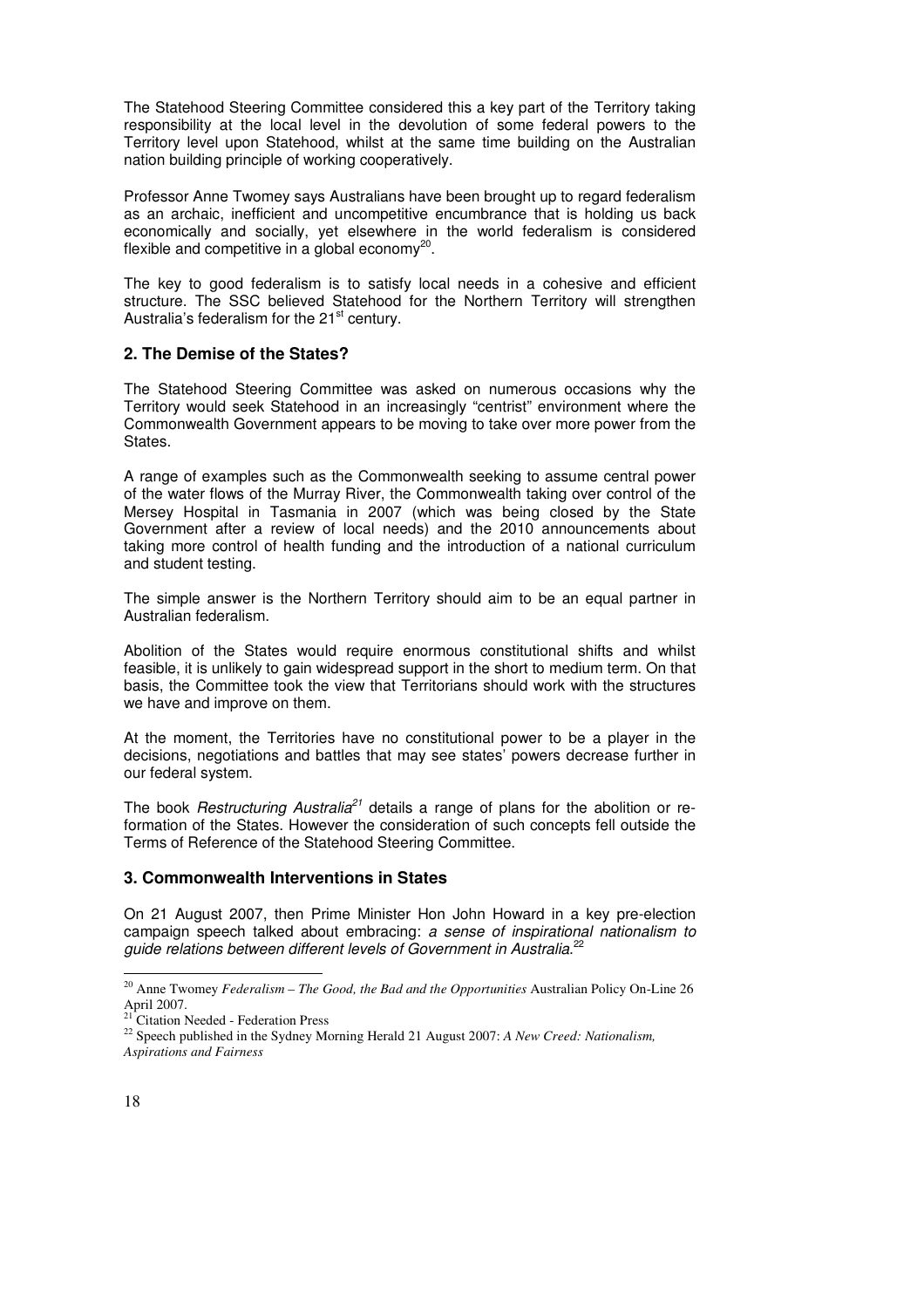The Statehood Steering Committee considered this a key part of the Territory taking responsibility at the local level in the devolution of some federal powers to the Territory level upon Statehood, whilst at the same time building on the Australian nation building principle of working cooperatively.

Professor Anne Twomey says Australians have been brought up to regard federalism as an archaic, inefficient and uncompetitive encumbrance that is holding us back economically and socially, yet elsewhere in the world federalism is considered flexible and competitive in a global economy $^{20}$ .

The key to good federalism is to satisfy local needs in a cohesive and efficient structure. The SSC believed Statehood for the Northern Territory will strengthen Australia's federalism for the  $21<sup>st</sup>$  century.

### **2. The Demise of the States?**

The Statehood Steering Committee was asked on numerous occasions why the Territory would seek Statehood in an increasingly "centrist" environment where the Commonwealth Government appears to be moving to take over more power from the States.

A range of examples such as the Commonwealth seeking to assume central power of the water flows of the Murray River, the Commonwealth taking over control of the Mersey Hospital in Tasmania in 2007 (which was being closed by the State Government after a review of local needs) and the 2010 announcements about taking more control of health funding and the introduction of a national curriculum and student testing.

The simple answer is the Northern Territory should aim to be an equal partner in Australian federalism.

Abolition of the States would require enormous constitutional shifts and whilst feasible, it is unlikely to gain widespread support in the short to medium term. On that basis, the Committee took the view that Territorians should work with the structures we have and improve on them.

At the moment, the Territories have no constitutional power to be a player in the decisions, negotiations and battles that may see states' powers decrease further in our federal system.

The book Restructuring Australia<sup>21</sup> details a range of plans for the abolition or reformation of the States. However the consideration of such concepts fell outside the Terms of Reference of the Statehood Steering Committee.

### **3. Commonwealth Interventions in States**

On 21 August 2007, then Prime Minister Hon John Howard in a key pre-election campaign speech talked about embracing: a sense of inspirational nationalism to guide relations between different levels of Government in Australia.<sup>22</sup>

<sup>-</sup><sup>20</sup> Anne Twomey *Federalism – The Good, the Bad and the Opportunities* Australian Policy On-Line 26 April 2007.

Citation Needed - Federation Press

<sup>22</sup> Speech published in the Sydney Morning Herald 21 August 2007: *A New Creed: Nationalism, Aspirations and Fairness*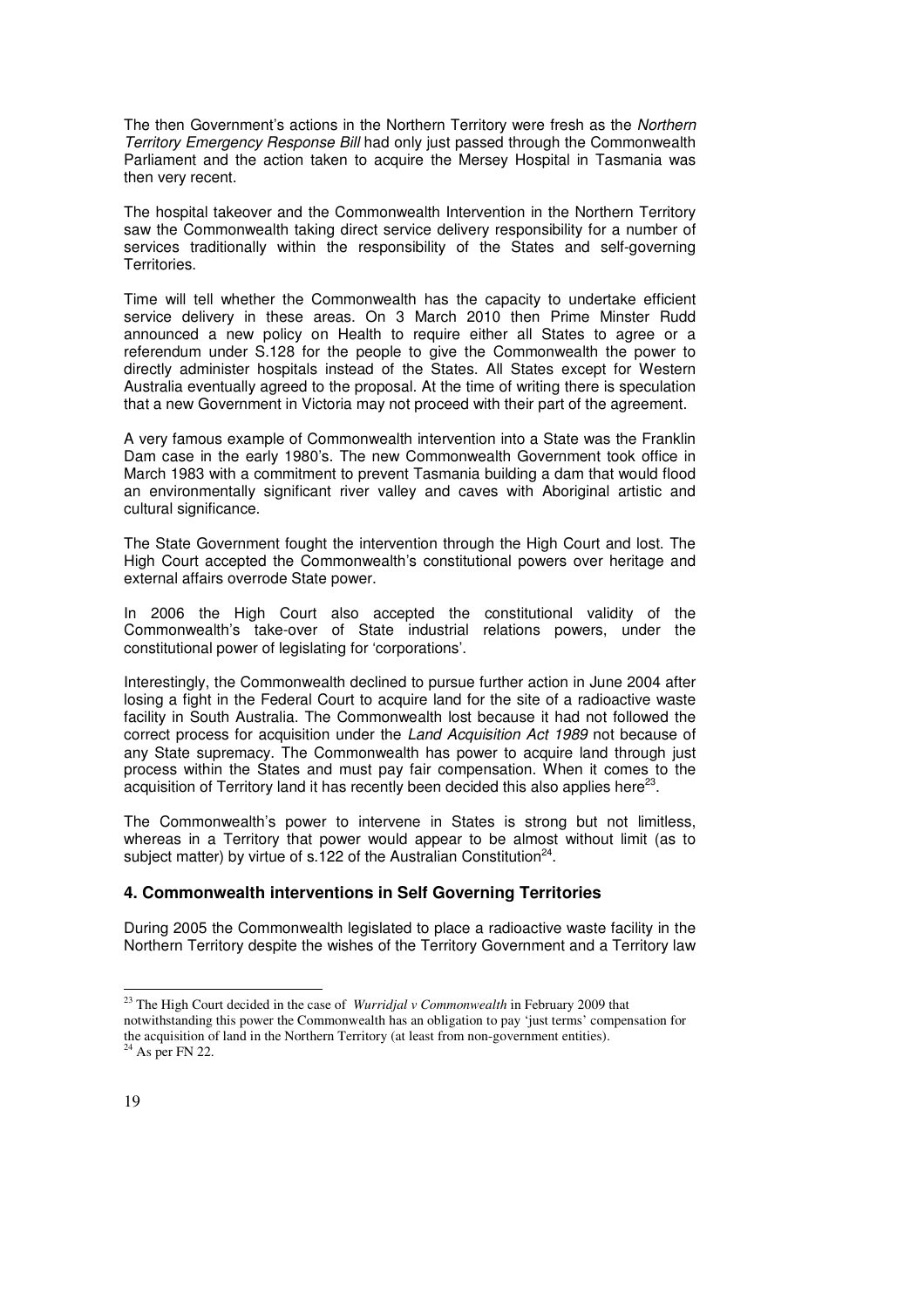The then Government's actions in the Northern Territory were fresh as the Northern Territory Emergency Response Bill had only just passed through the Commonwealth Parliament and the action taken to acquire the Mersey Hospital in Tasmania was then very recent.

The hospital takeover and the Commonwealth Intervention in the Northern Territory saw the Commonwealth taking direct service delivery responsibility for a number of services traditionally within the responsibility of the States and self-governing Territories.

Time will tell whether the Commonwealth has the capacity to undertake efficient service delivery in these areas. On 3 March 2010 then Prime Minster Rudd announced a new policy on Health to require either all States to agree or a referendum under S.128 for the people to give the Commonwealth the power to directly administer hospitals instead of the States. All States except for Western Australia eventually agreed to the proposal. At the time of writing there is speculation that a new Government in Victoria may not proceed with their part of the agreement.

A very famous example of Commonwealth intervention into a State was the Franklin Dam case in the early 1980's. The new Commonwealth Government took office in March 1983 with a commitment to prevent Tasmania building a dam that would flood an environmentally significant river valley and caves with Aboriginal artistic and cultural significance.

The State Government fought the intervention through the High Court and lost. The High Court accepted the Commonwealth's constitutional powers over heritage and external affairs overrode State power.

In 2006 the High Court also accepted the constitutional validity of the Commonwealth's take-over of State industrial relations powers, under the constitutional power of legislating for 'corporations'.

Interestingly, the Commonwealth declined to pursue further action in June 2004 after losing a fight in the Federal Court to acquire land for the site of a radioactive waste facility in South Australia. The Commonwealth lost because it had not followed the correct process for acquisition under the Land Acquisition Act 1989 not because of any State supremacy. The Commonwealth has power to acquire land through just process within the States and must pay fair compensation. When it comes to the acquisition of Territory land it has recently been decided this also applies here<sup>23</sup>.

The Commonwealth's power to intervene in States is strong but not limitless, whereas in a Territory that power would appear to be almost without limit (as to subject matter) by virtue of s.122 of the Australian Constitution<sup>24</sup>.

### **4. Commonwealth interventions in Self Governing Territories**

During 2005 the Commonwealth legislated to place a radioactive waste facility in the Northern Territory despite the wishes of the Territory Government and a Territory law

<sup>23</sup> The High Court decided in the case of *Wurridjal v Commonwealth* in February 2009 that notwithstanding this power the Commonwealth has an obligation to pay 'just terms' compensation for the acquisition of land in the Northern Territory (at least from non-government entities).  $24$  As per FN 22.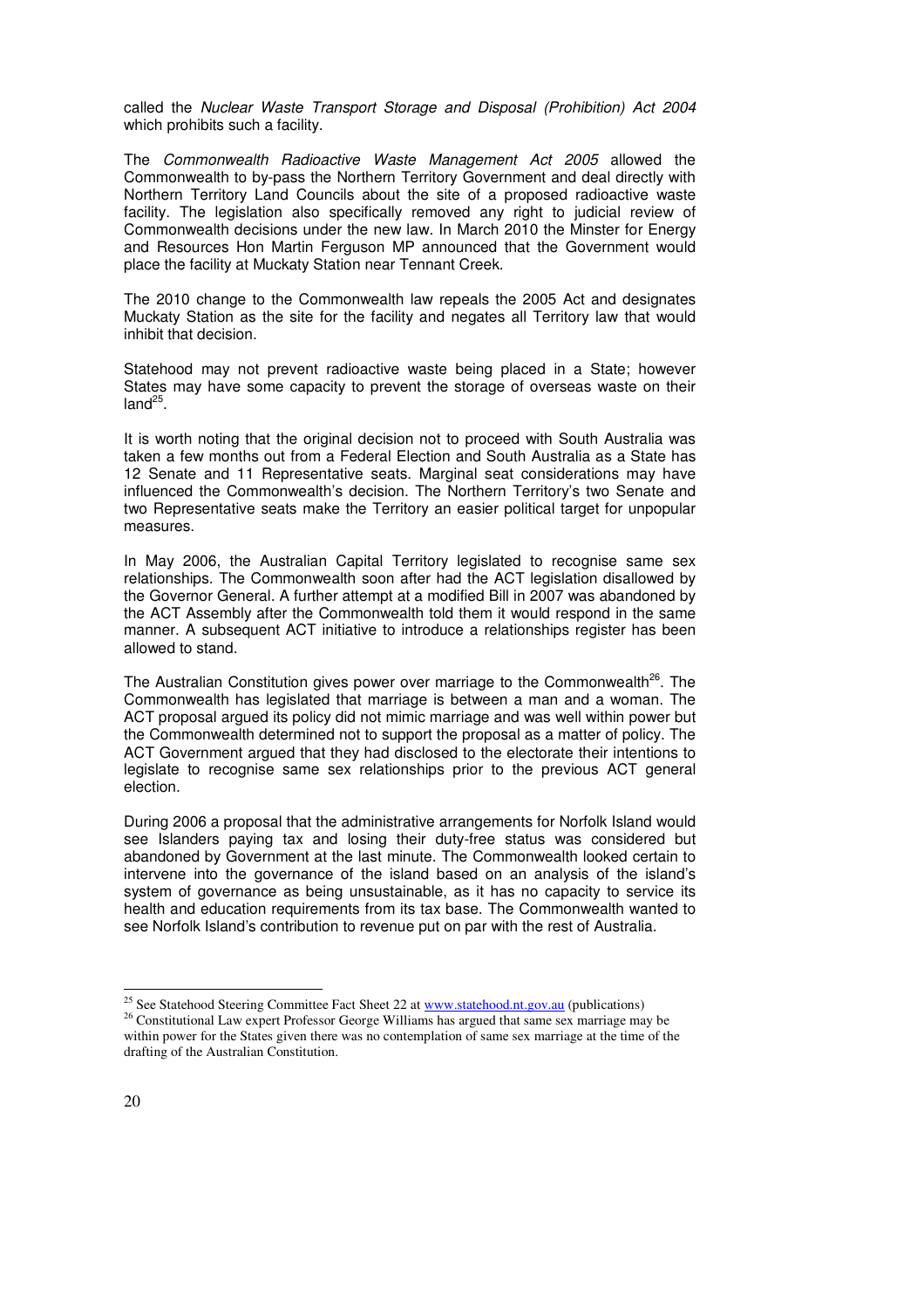called the Nuclear Waste Transport Storage and Disposal (Prohibition) Act 2004 which prohibits such a facility.

The Commonwealth Radioactive Waste Management Act 2005 allowed the Commonwealth to by-pass the Northern Territory Government and deal directly with Northern Territory Land Councils about the site of a proposed radioactive waste facility. The legislation also specifically removed any right to judicial review of Commonwealth decisions under the new law. In March 2010 the Minster for Energy and Resources Hon Martin Ferguson MP announced that the Government would place the facility at Muckaty Station near Tennant Creek.

The 2010 change to the Commonwealth law repeals the 2005 Act and designates Muckaty Station as the site for the facility and negates all Territory law that would inhibit that decision.

Statehood may not prevent radioactive waste being placed in a State; however States may have some capacity to prevent the storage of overseas waste on their land $^{25}$ .

It is worth noting that the original decision not to proceed with South Australia was taken a few months out from a Federal Election and South Australia as a State has 12 Senate and 11 Representative seats. Marginal seat considerations may have influenced the Commonwealth's decision. The Northern Territory's two Senate and two Representative seats make the Territory an easier political target for unpopular measures.

In May 2006, the Australian Capital Territory legislated to recognise same sex relationships. The Commonwealth soon after had the ACT legislation disallowed by the Governor General. A further attempt at a modified Bill in 2007 was abandoned by the ACT Assembly after the Commonwealth told them it would respond in the same manner. A subsequent ACT initiative to introduce a relationships register has been allowed to stand.

The Australian Constitution gives power over marriage to the Commonwealth<sup>26</sup>. The Commonwealth has legislated that marriage is between a man and a woman. The ACT proposal argued its policy did not mimic marriage and was well within power but the Commonwealth determined not to support the proposal as a matter of policy. The ACT Government argued that they had disclosed to the electorate their intentions to legislate to recognise same sex relationships prior to the previous ACT general election.

During 2006 a proposal that the administrative arrangements for Norfolk Island would see Islanders paying tax and losing their duty-free status was considered but abandoned by Government at the last minute. The Commonwealth looked certain to intervene into the governance of the island based on an analysis of the island's system of governance as being unsustainable, as it has no capacity to service its health and education requirements from its tax base. The Commonwealth wanted to see Norfolk Island's contribution to revenue put on par with the rest of Australia.

<sup>&</sup>lt;sup>25</sup> See Statehood Steering Committee Fact Sheet 22 at www.statehood.nt.gov.au (publications)

<sup>&</sup>lt;sup>26</sup> Constitutional Law expert Professor George Williams has argued that same sex marriage may be within power for the States given there was no contemplation of same sex marriage at the time of the drafting of the Australian Constitution.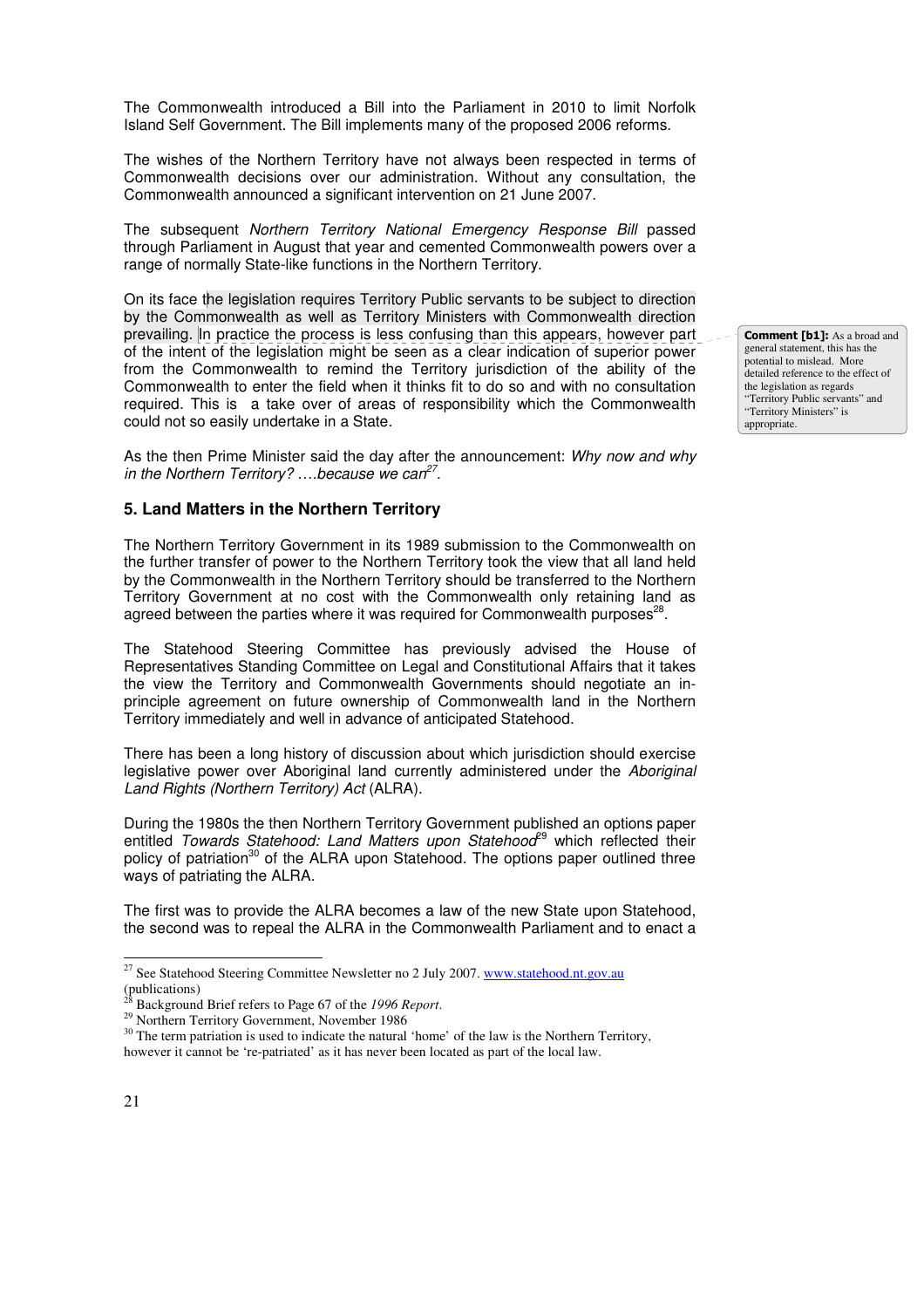The Commonwealth introduced a Bill into the Parliament in 2010 to limit Norfolk Island Self Government. The Bill implements many of the proposed 2006 reforms.

The wishes of the Northern Territory have not always been respected in terms of Commonwealth decisions over our administration. Without any consultation, the Commonwealth announced a significant intervention on 21 June 2007.

The subsequent Northern Territory National Emergency Response Bill passed through Parliament in August that year and cemented Commonwealth powers over a range of normally State-like functions in the Northern Territory.

On its face the legislation requires Territory Public servants to be subject to direction by the Commonwealth as well as Territory Ministers with Commonwealth direction prevailing. In practice the process is less confusing than this appears, however part of the intent of the legislation might be seen as a clear indication of superior power from the Commonwealth to remind the Territory jurisdiction of the ability of the Commonwealth to enter the field when it thinks fit to do so and with no consultation required. This is a take over of areas of responsibility which the Commonwealth could not so easily undertake in a State.

As the then Prime Minister said the day after the announcement: Why now and why in the Northern Territory? ... because we can<sup>27</sup>.

### **5. Land Matters in the Northern Territory**

The Northern Territory Government in its 1989 submission to the Commonwealth on the further transfer of power to the Northern Territory took the view that all land held by the Commonwealth in the Northern Territory should be transferred to the Northern Territory Government at no cost with the Commonwealth only retaining land as agreed between the parties where it was required for Commonwealth purposes<sup>28</sup>.

The Statehood Steering Committee has previously advised the House of Representatives Standing Committee on Legal and Constitutional Affairs that it takes the view the Territory and Commonwealth Governments should negotiate an inprinciple agreement on future ownership of Commonwealth land in the Northern Territory immediately and well in advance of anticipated Statehood.

There has been a long history of discussion about which jurisdiction should exercise legislative power over Aboriginal land currently administered under the Aboriginal Land Rights (Northern Territory) Act (ALRA).

During the 1980s the then Northern Territory Government published an options paper entitled Towards Statehood: Land Matters upon Statehood<sup>29</sup> which reflected their policy of patriation<sup>30</sup> of the ALRA upon Statehood. The options paper outlined three ways of patriating the ALRA.

The first was to provide the ALRA becomes a law of the new State upon Statehood, the second was to repeal the ALRA in the Commonwealth Parliament and to enact a **Comment [b1]:** As a broad and general statement, this has the potential to mislead. More detailed reference to the effect of the legislation as regards "Territory Public servants" and "Territory Ministers" is appropriate.

<sup>&</sup>lt;sup>27</sup> See Statehood Steering Committee Newsletter no 2 July 2007. www.statehood.nt.gov.au (publications)

<sup>28</sup> Background Brief refers to Page 67 of the *1996 Report*.

<sup>&</sup>lt;sup>29</sup> Northern Territory Government, November 1986

<sup>&</sup>lt;sup>30</sup> The term patriation is used to indicate the natural 'home' of the law is the Northern Territory, however it cannot be 're-patriated' as it has never been located as part of the local law.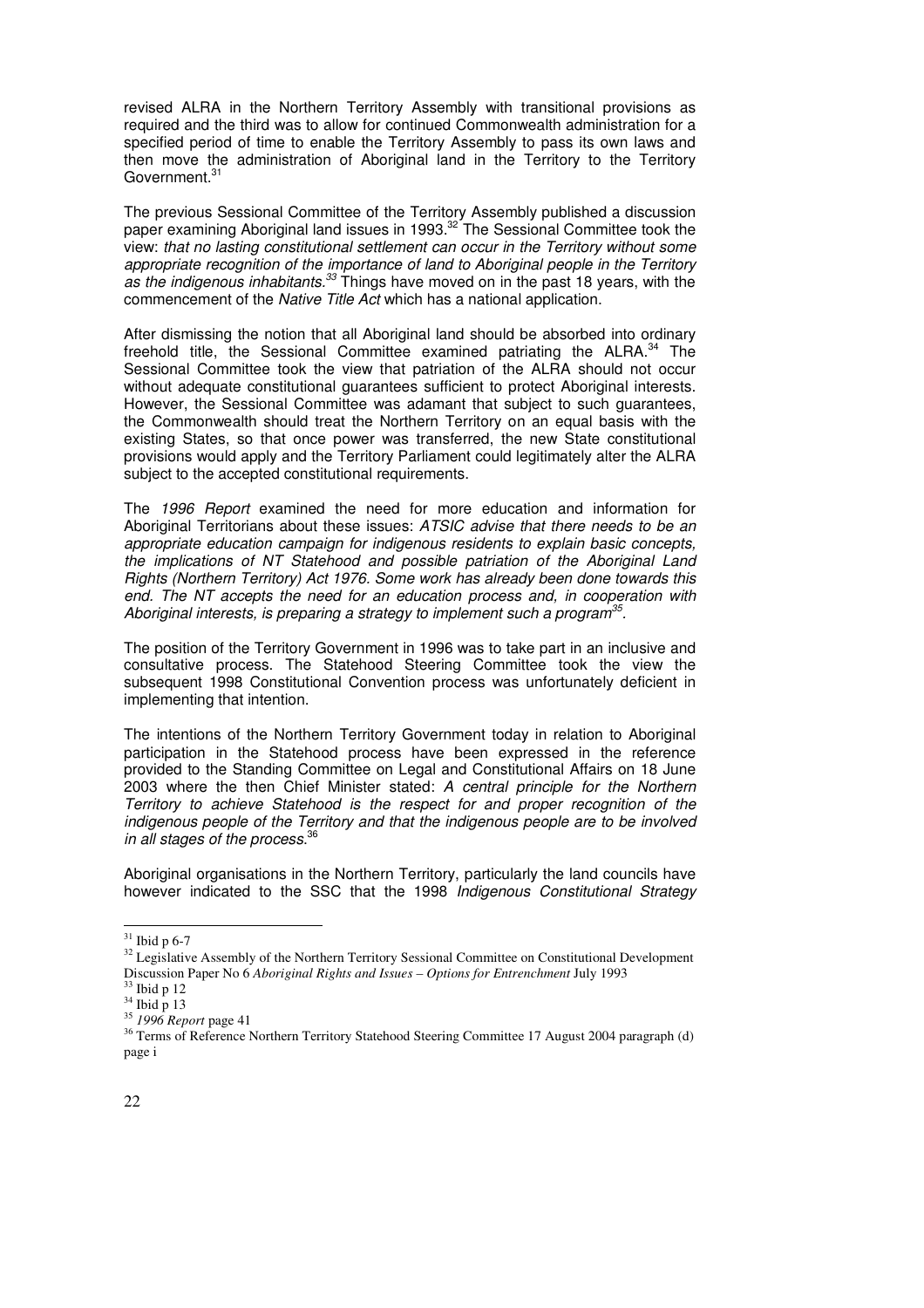revised ALRA in the Northern Territory Assembly with transitional provisions as required and the third was to allow for continued Commonwealth administration for a specified period of time to enable the Territory Assembly to pass its own laws and then move the administration of Aboriginal land in the Territory to the Territory Government.<sup>31</sup>

The previous Sessional Committee of the Territory Assembly published a discussion paper examining Aboriginal land issues in 1993.<sup>32</sup> The Sessional Committee took the view: that no lasting constitutional settlement can occur in the Territory without some appropriate recognition of the importance of land to Aboriginal people in the Territory as the indigenous inhabitants.<sup>33</sup> Things have moved on in the past 18 years, with the commencement of the Native Title Act which has a national application.

After dismissing the notion that all Aboriginal land should be absorbed into ordinary freehold title, the Sessional Committee examined patriating the ALRA.<sup>34</sup> The Sessional Committee took the view that patriation of the ALRA should not occur without adequate constitutional guarantees sufficient to protect Aboriginal interests. However, the Sessional Committee was adamant that subject to such guarantees, the Commonwealth should treat the Northern Territory on an equal basis with the existing States, so that once power was transferred, the new State constitutional provisions would apply and the Territory Parliament could legitimately alter the ALRA subject to the accepted constitutional requirements.

The 1996 Report examined the need for more education and information for Aboriginal Territorians about these issues: ATSIC advise that there needs to be an appropriate education campaign for indigenous residents to explain basic concepts, the implications of NT Statehood and possible patriation of the Aboriginal Land Rights (Northern Territory) Act 1976. Some work has already been done towards this end. The NT accepts the need for an education process and, in cooperation with Aboriginal interests, is preparing a strategy to implement such a program $35$ .

The position of the Territory Government in 1996 was to take part in an inclusive and consultative process. The Statehood Steering Committee took the view the subsequent 1998 Constitutional Convention process was unfortunately deficient in implementing that intention.

The intentions of the Northern Territory Government today in relation to Aboriginal participation in the Statehood process have been expressed in the reference provided to the Standing Committee on Legal and Constitutional Affairs on 18 June 2003 where the then Chief Minister stated: A central principle for the Northern Territory to achieve Statehood is the respect for and proper recognition of the indigenous people of the Territory and that the indigenous people are to be involved in all stages of the process.<sup>36</sup>

Aboriginal organisations in the Northern Territory, particularly the land councils have however indicated to the SSC that the 1998 Indigenous Constitutional Strategy

**.** 

 $31$  Ibid p 6-7

<sup>&</sup>lt;sup>32</sup> Legislative Assembly of the Northern Territory Sessional Committee on Constitutional Development Discussion Paper No 6 *Aboriginal Rights and Issues – Options for Entrenchment* July 1993

 $33$  Ibid p 12

 $34$  Ibid p 13

<sup>35</sup> *1996 Report* page 41

<sup>&</sup>lt;sup>36</sup> Terms of Reference Northern Territory Statehood Steering Committee 17 August 2004 paragraph (d) page i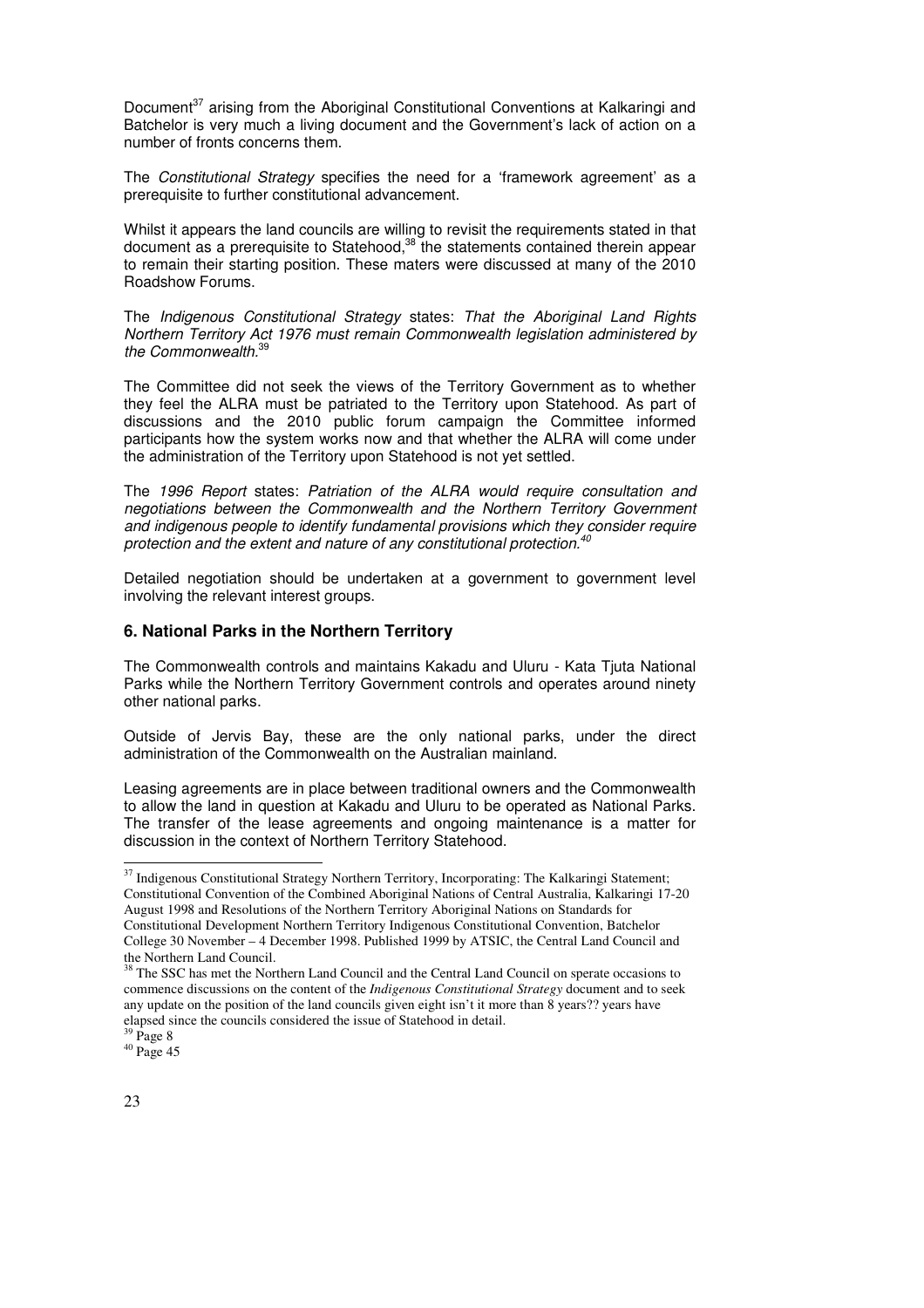Document<sup>37</sup> arising from the Aboriginal Constitutional Conventions at Kalkaringi and Batchelor is very much a living document and the Government's lack of action on a number of fronts concerns them.

The Constitutional Strategy specifies the need for a 'framework agreement' as a prerequisite to further constitutional advancement.

Whilst it appears the land councils are willing to revisit the requirements stated in that document as a prerequisite to Statehood,<sup>38</sup> the statements contained therein appear to remain their starting position. These maters were discussed at many of the 2010 Roadshow Forums.

The Indigenous Constitutional Strategy states: That the Aboriginal Land Rights Northern Territory Act 1976 must remain Commonwealth legislation administered by the Commonwealth.<sup>39</sup>

The Committee did not seek the views of the Territory Government as to whether they feel the ALRA must be patriated to the Territory upon Statehood. As part of discussions and the 2010 public forum campaign the Committee informed participants how the system works now and that whether the ALRA will come under the administration of the Territory upon Statehood is not yet settled.

The 1996 Report states: Patriation of the ALRA would require consultation and negotiations between the Commonwealth and the Northern Territory Government and indigenous people to identify fundamental provisions which they consider require protection and the extent and nature of any constitutional protection.

Detailed negotiation should be undertaken at a government to government level involving the relevant interest groups.

### **6. National Parks in the Northern Territory**

The Commonwealth controls and maintains Kakadu and Uluru - Kata Tjuta National Parks while the Northern Territory Government controls and operates around ninety other national parks.

Outside of Jervis Bay, these are the only national parks, under the direct administration of the Commonwealth on the Australian mainland.

Leasing agreements are in place between traditional owners and the Commonwealth to allow the land in question at Kakadu and Uluru to be operated as National Parks. The transfer of the lease agreements and ongoing maintenance is a matter for discussion in the context of Northern Territory Statehood.

**.** 

<sup>&</sup>lt;sup>37</sup> Indigenous Constitutional Strategy Northern Territory, Incorporating: The Kalkaringi Statement; Constitutional Convention of the Combined Aboriginal Nations of Central Australia, Kalkaringi 17-20 August 1998 and Resolutions of the Northern Territory Aboriginal Nations on Standards for Constitutional Development Northern Territory Indigenous Constitutional Convention, Batchelor College 30 November – 4 December 1998. Published 1999 by ATSIC, the Central Land Council and the Northern Land Council.

<sup>&</sup>lt;sup>38</sup> The SSC has met the Northern Land Council and the Central Land Council on sperate occasions to commence discussions on the content of the *Indigenous Constitutional Strategy* document and to seek any update on the position of the land councils given eight isn't it more than 8 years?? years have elapsed since the councils considered the issue of Statehood in detail.

 $^{39}$  Page  $\,$ 

 $40$  Page 45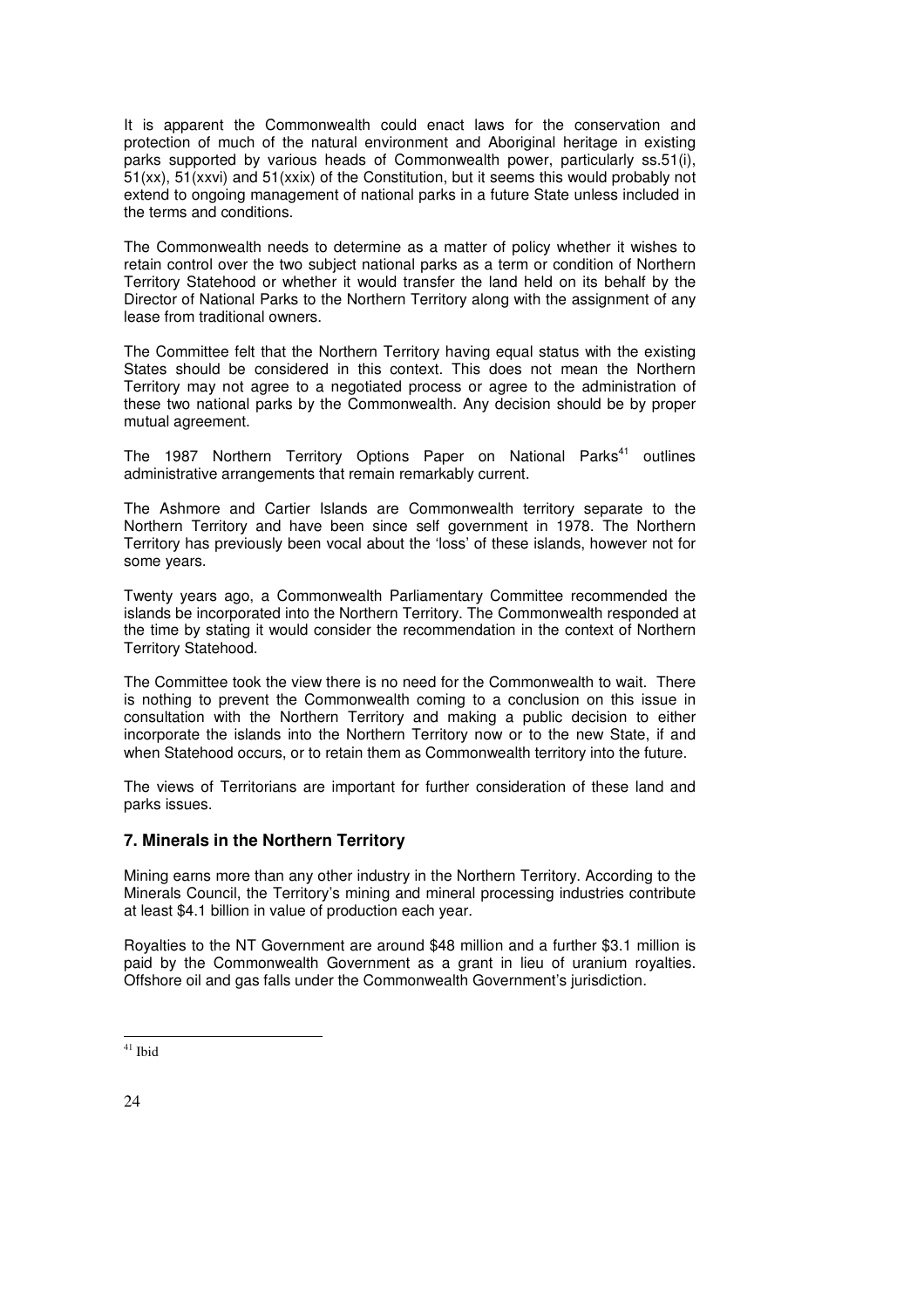It is apparent the Commonwealth could enact laws for the conservation and protection of much of the natural environment and Aboriginal heritage in existing parks supported by various heads of Commonwealth power, particularly ss.51(i), 51(xx), 51(xxvi) and 51(xxix) of the Constitution, but it seems this would probably not extend to ongoing management of national parks in a future State unless included in the terms and conditions.

The Commonwealth needs to determine as a matter of policy whether it wishes to retain control over the two subject national parks as a term or condition of Northern Territory Statehood or whether it would transfer the land held on its behalf by the Director of National Parks to the Northern Territory along with the assignment of any lease from traditional owners.

The Committee felt that the Northern Territory having equal status with the existing States should be considered in this context. This does not mean the Northern Territory may not agree to a negotiated process or agree to the administration of these two national parks by the Commonwealth. Any decision should be by proper mutual agreement.

The 1987 Northern Territory Options Paper on National Parks<sup>41</sup> outlines administrative arrangements that remain remarkably current.

The Ashmore and Cartier Islands are Commonwealth territory separate to the Northern Territory and have been since self government in 1978. The Northern Territory has previously been vocal about the 'loss' of these islands, however not for some years.

Twenty years ago, a Commonwealth Parliamentary Committee recommended the islands be incorporated into the Northern Territory. The Commonwealth responded at the time by stating it would consider the recommendation in the context of Northern Territory Statehood.

The Committee took the view there is no need for the Commonwealth to wait. There is nothing to prevent the Commonwealth coming to a conclusion on this issue in consultation with the Northern Territory and making a public decision to either incorporate the islands into the Northern Territory now or to the new State, if and when Statehood occurs, or to retain them as Commonwealth territory into the future.

The views of Territorians are important for further consideration of these land and parks issues.

### **7. Minerals in the Northern Territory**

Mining earns more than any other industry in the Northern Territory. According to the Minerals Council, the Territory's mining and mineral processing industries contribute at least \$4.1 billion in value of production each year.

Royalties to the NT Government are around \$48 million and a further \$3.1 million is paid by the Commonwealth Government as a grant in lieu of uranium royalties. Offshore oil and gas falls under the Commonwealth Government's jurisdiction.

<sup>-</sup><sup>41</sup> Ibid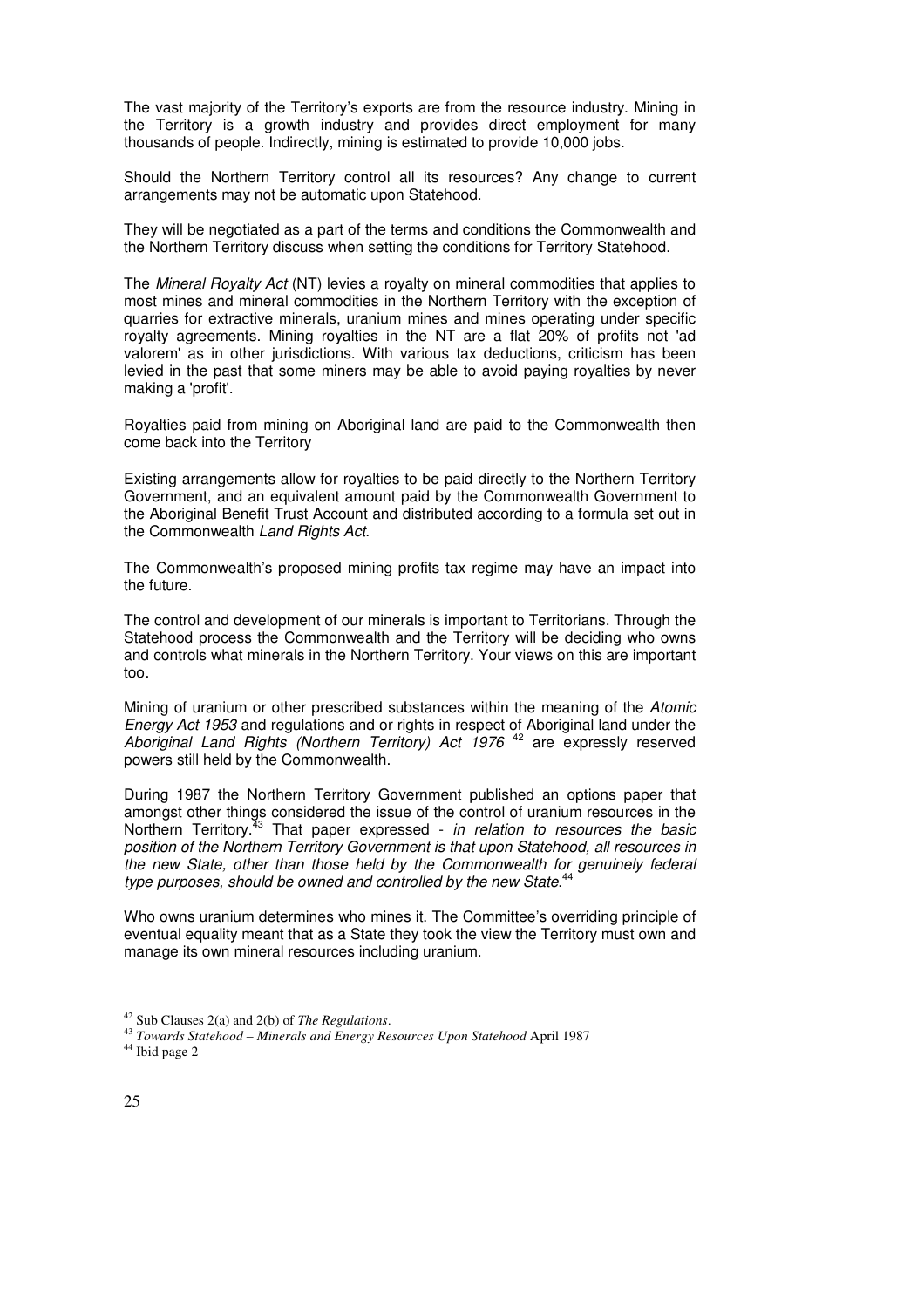The vast majority of the Territory's exports are from the resource industry. Mining in the Territory is a growth industry and provides direct employment for many thousands of people. Indirectly, mining is estimated to provide 10,000 jobs.

Should the Northern Territory control all its resources? Any change to current arrangements may not be automatic upon Statehood.

They will be negotiated as a part of the terms and conditions the Commonwealth and the Northern Territory discuss when setting the conditions for Territory Statehood.

The Mineral Royalty Act (NT) levies a royalty on mineral commodities that applies to most mines and mineral commodities in the Northern Territory with the exception of quarries for extractive minerals, uranium mines and mines operating under specific royalty agreements. Mining royalties in the NT are a flat 20% of profits not 'ad valorem' as in other jurisdictions. With various tax deductions, criticism has been levied in the past that some miners may be able to avoid paying royalties by never making a 'profit'.

Royalties paid from mining on Aboriginal land are paid to the Commonwealth then come back into the Territory

Existing arrangements allow for royalties to be paid directly to the Northern Territory Government, and an equivalent amount paid by the Commonwealth Government to the Aboriginal Benefit Trust Account and distributed according to a formula set out in the Commonwealth Land Rights Act.

The Commonwealth's proposed mining profits tax regime may have an impact into the future.

The control and development of our minerals is important to Territorians. Through the Statehood process the Commonwealth and the Territory will be deciding who owns and controls what minerals in the Northern Territory. Your views on this are important too.

Mining of uranium or other prescribed substances within the meaning of the Atomic Energy Act 1953 and regulations and or rights in respect of Aboriginal land under the Aboriginal Land Rights (Northern Territory) Act 1976<sup>42</sup> are expressly reserved powers still held by the Commonwealth.

During 1987 the Northern Territory Government published an options paper that amongst other things considered the issue of the control of uranium resources in the Northern Territory.<sup>33</sup> That paper expressed - in relation to resources the basic position of the Northern Territory Government is that upon Statehood, all resources in the new State, other than those held by the Commonwealth for genuinely federal type purposes, should be owned and controlled by the new State.<sup>44</sup>

Who owns uranium determines who mines it. The Committee's overriding principle of eventual equality meant that as a State they took the view the Territory must own and manage its own mineral resources including uranium.

<sup>42</sup> Sub Clauses 2(a) and 2(b) of *The Regulations*.

<sup>43</sup> *Towards Statehood – Minerals and Energy Resources Upon Statehood* April 1987

<sup>&</sup>lt;sup>44</sup> Ibid page 2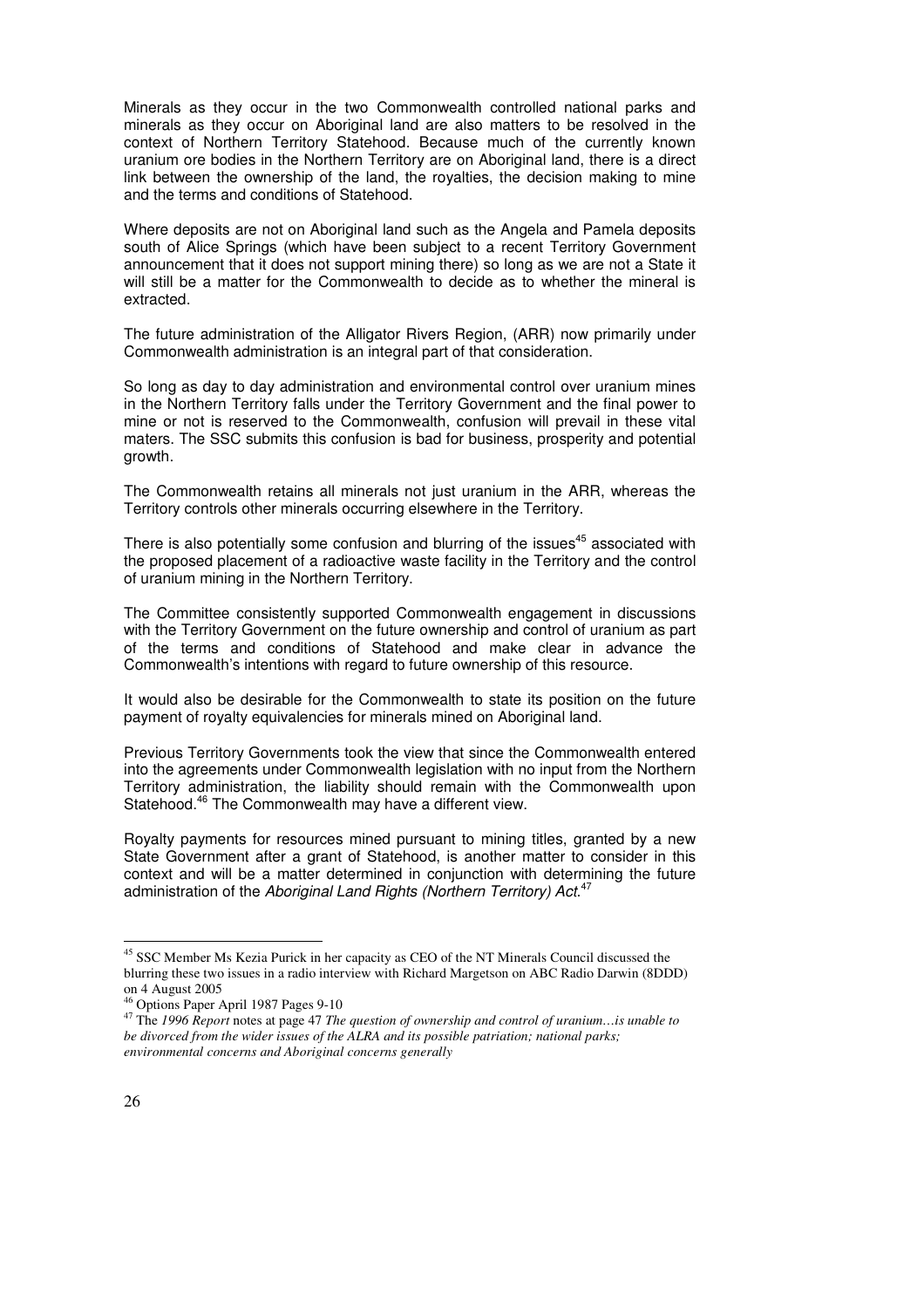Minerals as they occur in the two Commonwealth controlled national parks and minerals as they occur on Aboriginal land are also matters to be resolved in the context of Northern Territory Statehood. Because much of the currently known uranium ore bodies in the Northern Territory are on Aboriginal land, there is a direct link between the ownership of the land, the royalties, the decision making to mine and the terms and conditions of Statehood.

Where deposits are not on Aboriginal land such as the Angela and Pamela deposits south of Alice Springs (which have been subject to a recent Territory Government announcement that it does not support mining there) so long as we are not a State it will still be a matter for the Commonwealth to decide as to whether the mineral is extracted.

The future administration of the Alligator Rivers Region, (ARR) now primarily under Commonwealth administration is an integral part of that consideration.

So long as day to day administration and environmental control over uranium mines in the Northern Territory falls under the Territory Government and the final power to mine or not is reserved to the Commonwealth, confusion will prevail in these vital maters. The SSC submits this confusion is bad for business, prosperity and potential growth.

The Commonwealth retains all minerals not just uranium in the ARR, whereas the Territory controls other minerals occurring elsewhere in the Territory.

There is also potentially some confusion and blurring of the issues<sup>45</sup> associated with the proposed placement of a radioactive waste facility in the Territory and the control of uranium mining in the Northern Territory.

The Committee consistently supported Commonwealth engagement in discussions with the Territory Government on the future ownership and control of uranium as part of the terms and conditions of Statehood and make clear in advance the Commonwealth's intentions with regard to future ownership of this resource.

It would also be desirable for the Commonwealth to state its position on the future payment of royalty equivalencies for minerals mined on Aboriginal land.

Previous Territory Governments took the view that since the Commonwealth entered into the agreements under Commonwealth legislation with no input from the Northern Territory administration, the liability should remain with the Commonwealth upon Statehood.<sup>46</sup> The Commonwealth may have a different view.

Royalty payments for resources mined pursuant to mining titles, granted by a new State Government after a grant of Statehood, is another matter to consider in this context and will be a matter determined in conjunction with determining the future administration of the Aboriginal Land Rights (Northern Territory) Act.<sup>47</sup>

**.** 

<sup>&</sup>lt;sup>45</sup> SSC Member Ms Kezia Purick in her capacity as CEO of the NT Minerals Council discussed the blurring these two issues in a radio interview with Richard Margetson on ABC Radio Darwin (8DDD) on 4 August 2005

<sup>46</sup> Options Paper April 1987 Pages 9-10

<sup>47</sup> The *1996 Report* notes at page 47 *The question of ownership and control of uranium…is unable to be divorced from the wider issues of the ALRA and its possible patriation; national parks; environmental concerns and Aboriginal concerns generally*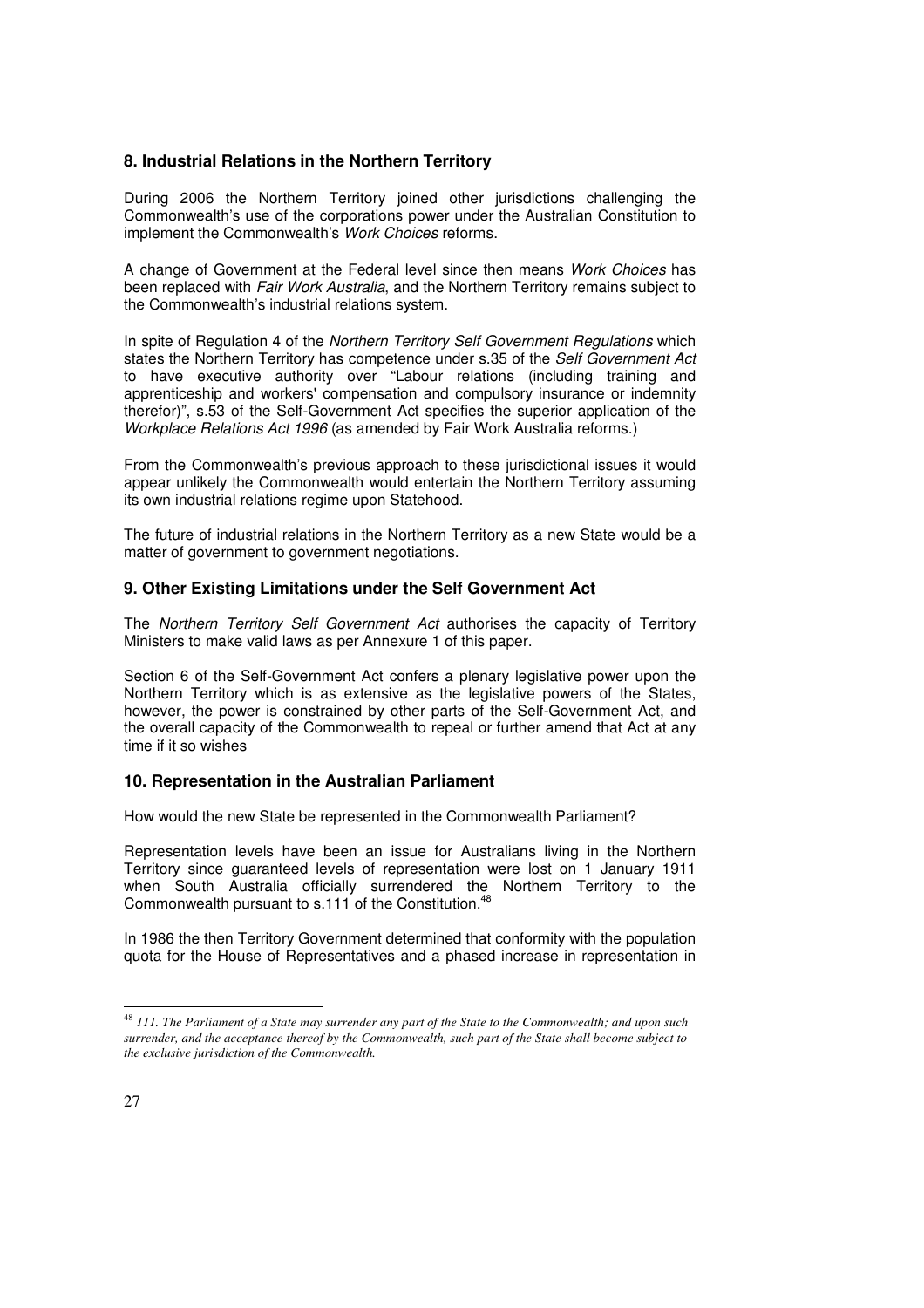### **8. Industrial Relations in the Northern Territory**

During 2006 the Northern Territory joined other jurisdictions challenging the Commonwealth's use of the corporations power under the Australian Constitution to implement the Commonwealth's Work Choices reforms.

A change of Government at the Federal level since then means Work Choices has been replaced with *Fair Work Australia*, and the Northern Territory remains subject to the Commonwealth's industrial relations system.

In spite of Regulation 4 of the Northern Territory Self Government Regulations which states the Northern Territory has competence under s.35 of the Self Government Act to have executive authority over "Labour relations (including training and apprenticeship and workers' compensation and compulsory insurance or indemnity therefor)", s.53 of the Self-Government Act specifies the superior application of the Workplace Relations Act 1996 (as amended by Fair Work Australia reforms.)

From the Commonwealth's previous approach to these jurisdictional issues it would appear unlikely the Commonwealth would entertain the Northern Territory assuming its own industrial relations regime upon Statehood.

The future of industrial relations in the Northern Territory as a new State would be a matter of government to government negotiations.

### **9. Other Existing Limitations under the Self Government Act**

The Northern Territory Self Government Act authorises the capacity of Territory Ministers to make valid laws as per Annexure 1 of this paper.

Section 6 of the Self-Government Act confers a plenary legislative power upon the Northern Territory which is as extensive as the legislative powers of the States, however, the power is constrained by other parts of the Self-Government Act, and the overall capacity of the Commonwealth to repeal or further amend that Act at any time if it so wishes

### **10. Representation in the Australian Parliament**

How would the new State be represented in the Commonwealth Parliament?

Representation levels have been an issue for Australians living in the Northern Territory since guaranteed levels of representation were lost on 1 January 1911 when South Australia officially surrendered the Northern Territory to the Commonwealth pursuant to s.111 of the Constitution.<sup>48</sup>

In 1986 the then Territory Government determined that conformity with the population quota for the House of Representatives and a phased increase in representation in

<sup>48</sup> *111. The Parliament of a State may surrender any part of the State to the Commonwealth; and upon such surrender, and the acceptance thereof by the Commonwealth, such part of the State shall become subject to the exclusive jurisdiction of the Commonwealth.*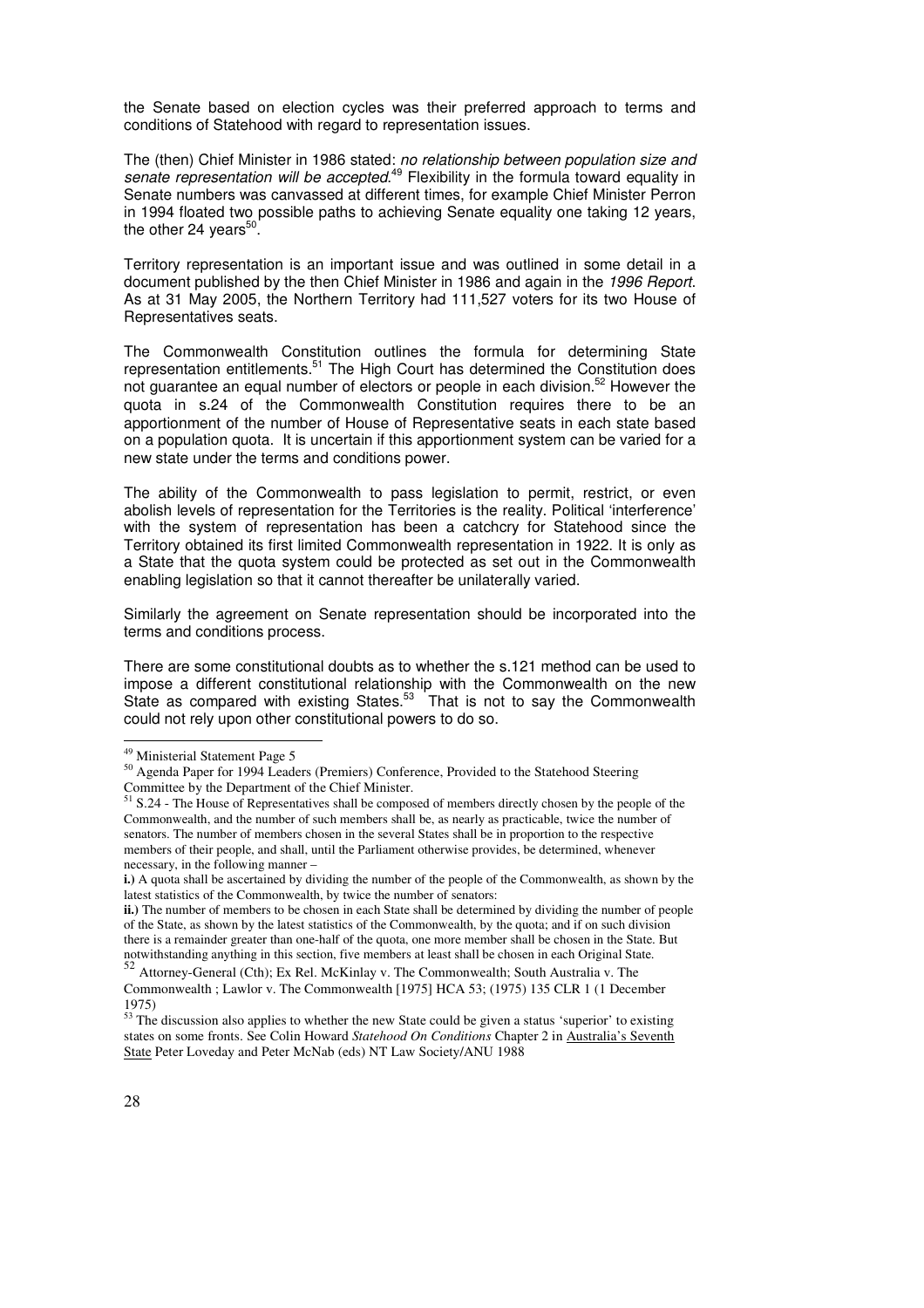the Senate based on election cycles was their preferred approach to terms and conditions of Statehood with regard to representation issues.

The (then) Chief Minister in 1986 stated: no relationship between population size and senate representation will be accepted.<sup>49</sup> Flexibility in the formula toward equality in Senate numbers was canvassed at different times, for example Chief Minister Perron in 1994 floated two possible paths to achieving Senate equality one taking 12 years, the other 24 years $50$ .

Territory representation is an important issue and was outlined in some detail in a document published by the then Chief Minister in 1986 and again in the 1996 Report. As at 31 May 2005, the Northern Territory had 111,527 voters for its two House of Representatives seats.

The Commonwealth Constitution outlines the formula for determining State representation entitlements.<sup>51</sup> The High Court has determined the Constitution does not guarantee an equal number of electors or people in each division.<sup>52</sup> However the quota in s.24 of the Commonwealth Constitution requires there to be an apportionment of the number of House of Representative seats in each state based on a population quota. It is uncertain if this apportionment system can be varied for a new state under the terms and conditions power.

The ability of the Commonwealth to pass legislation to permit, restrict, or even abolish levels of representation for the Territories is the reality. Political 'interference' with the system of representation has been a catchcry for Statehood since the Territory obtained its first limited Commonwealth representation in 1922. It is only as a State that the quota system could be protected as set out in the Commonwealth enabling legislation so that it cannot thereafter be unilaterally varied.

Similarly the agreement on Senate representation should be incorporated into the terms and conditions process.

There are some constitutional doubts as to whether the s.121 method can be used to impose a different constitutional relationship with the Commonwealth on the new State as compared with existing States.<sup>53</sup> That is not to say the Commonwealth could not rely upon other constitutional powers to do so.

<sup>&</sup>lt;sup>49</sup> Ministerial Statement Page 5

<sup>50</sup> Agenda Paper for 1994 Leaders (Premiers) Conference, Provided to the Statehood Steering Committee by the Department of the Chief Minister.

<sup>&</sup>lt;sup>51</sup> S.24 - The House of Representatives shall be composed of members directly chosen by the people of the Commonwealth, and the number of such members shall be, as nearly as practicable, twice the number of senators. The number of members chosen in the several States shall be in proportion to the respective members of their people, and shall, until the Parliament otherwise provides, be determined, whenever necessary, in the following manner –

**i.**) A quota shall be ascertained by dividing the number of the people of the Commonwealth, as shown by the latest statistics of the Commonwealth, by twice the number of senators:

**ii.)** The number of members to be chosen in each State shall be determined by dividing the number of people of the State, as shown by the latest statistics of the Commonwealth, by the quota; and if on such division there is a remainder greater than one-half of the quota, one more member shall be chosen in the State. But notwithstanding anything in this section, five members at least shall be chosen in each Original State.<br><sup>52</sup> Attorney-General (Cth); Ex Rel. McKinlay v. The Commonwealth; South Australia v. The

Commonwealth ; Lawlor v. The Commonwealth [1975] HCA 53; (1975) 135 CLR 1 (1 December 1975)

 $\frac{53}{31}$  The discussion also applies to whether the new State could be given a status 'superior' to existing states on some fronts. See Colin Howard *Statehood On Conditions* Chapter 2 in Australia's Seventh State Peter Loveday and Peter McNab (eds) NT Law Society/ANU 1988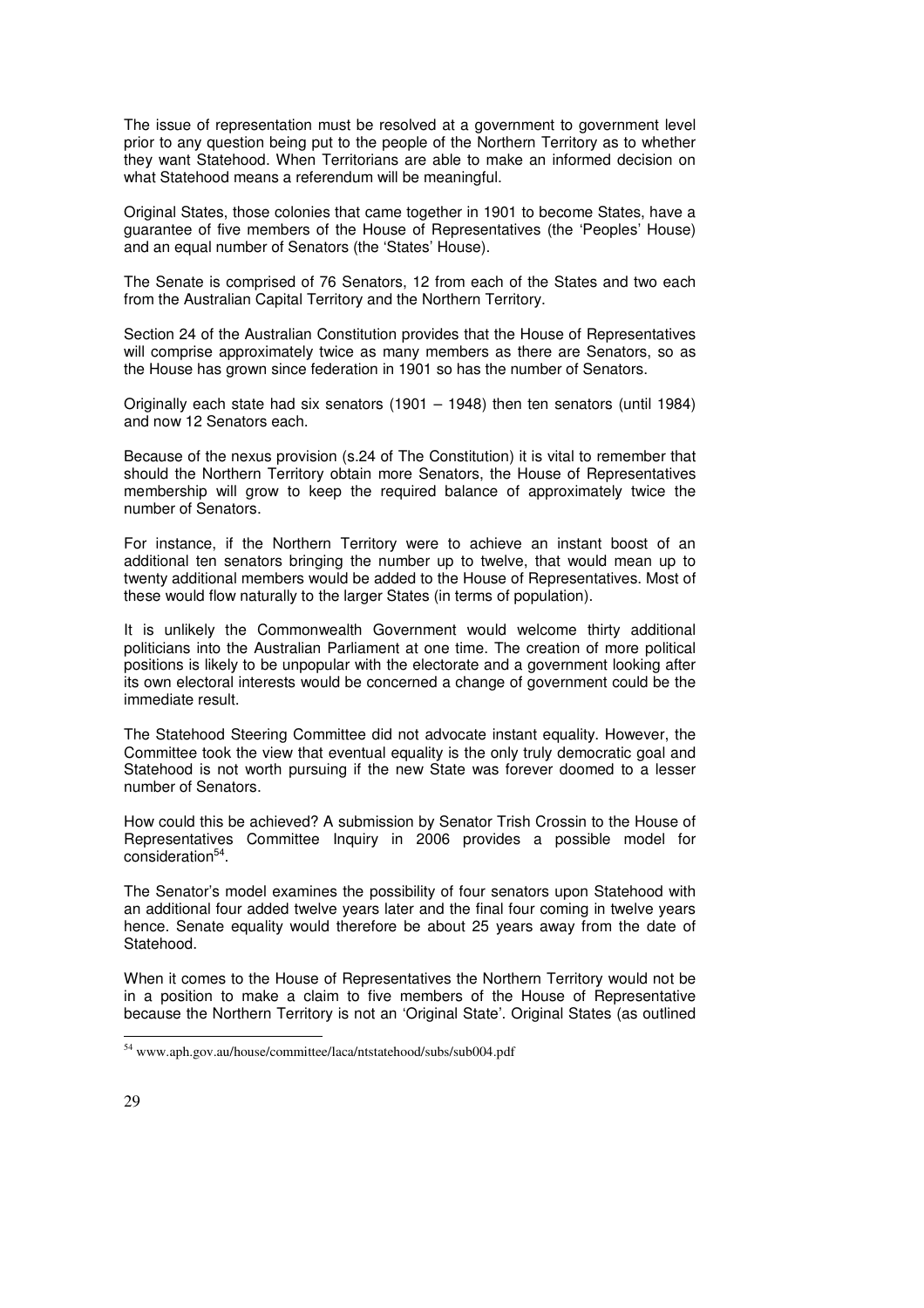The issue of representation must be resolved at a government to government level prior to any question being put to the people of the Northern Territory as to whether they want Statehood. When Territorians are able to make an informed decision on what Statehood means a referendum will be meaningful.

Original States, those colonies that came together in 1901 to become States, have a guarantee of five members of the House of Representatives (the 'Peoples' House) and an equal number of Senators (the 'States' House).

The Senate is comprised of 76 Senators, 12 from each of the States and two each from the Australian Capital Territory and the Northern Territory.

Section 24 of the Australian Constitution provides that the House of Representatives will comprise approximately twice as many members as there are Senators, so as the House has grown since federation in 1901 so has the number of Senators.

Originally each state had six senators (1901 – 1948) then ten senators (until 1984) and now 12 Senators each.

Because of the nexus provision (s.24 of The Constitution) it is vital to remember that should the Northern Territory obtain more Senators, the House of Representatives membership will grow to keep the required balance of approximately twice the number of Senators.

For instance, if the Northern Territory were to achieve an instant boost of an additional ten senators bringing the number up to twelve, that would mean up to twenty additional members would be added to the House of Representatives. Most of these would flow naturally to the larger States (in terms of population).

It is unlikely the Commonwealth Government would welcome thirty additional politicians into the Australian Parliament at one time. The creation of more political positions is likely to be unpopular with the electorate and a government looking after its own electoral interests would be concerned a change of government could be the immediate result.

The Statehood Steering Committee did not advocate instant equality. However, the Committee took the view that eventual equality is the only truly democratic goal and Statehood is not worth pursuing if the new State was forever doomed to a lesser number of Senators.

How could this be achieved? A submission by Senator Trish Crossin to the House of Representatives Committee Inquiry in 2006 provides a possible model for consideration<sup>54</sup>.

The Senator's model examines the possibility of four senators upon Statehood with an additional four added twelve years later and the final four coming in twelve years hence. Senate equality would therefore be about 25 years away from the date of Statehood.

When it comes to the House of Representatives the Northern Territory would not be in a position to make a claim to five members of the House of Representative because the Northern Territory is not an 'Original State'. Original States (as outlined

<sup>54</sup> www.aph.gov.au/house/committee/laca/ntstatehood/subs/sub004.pdf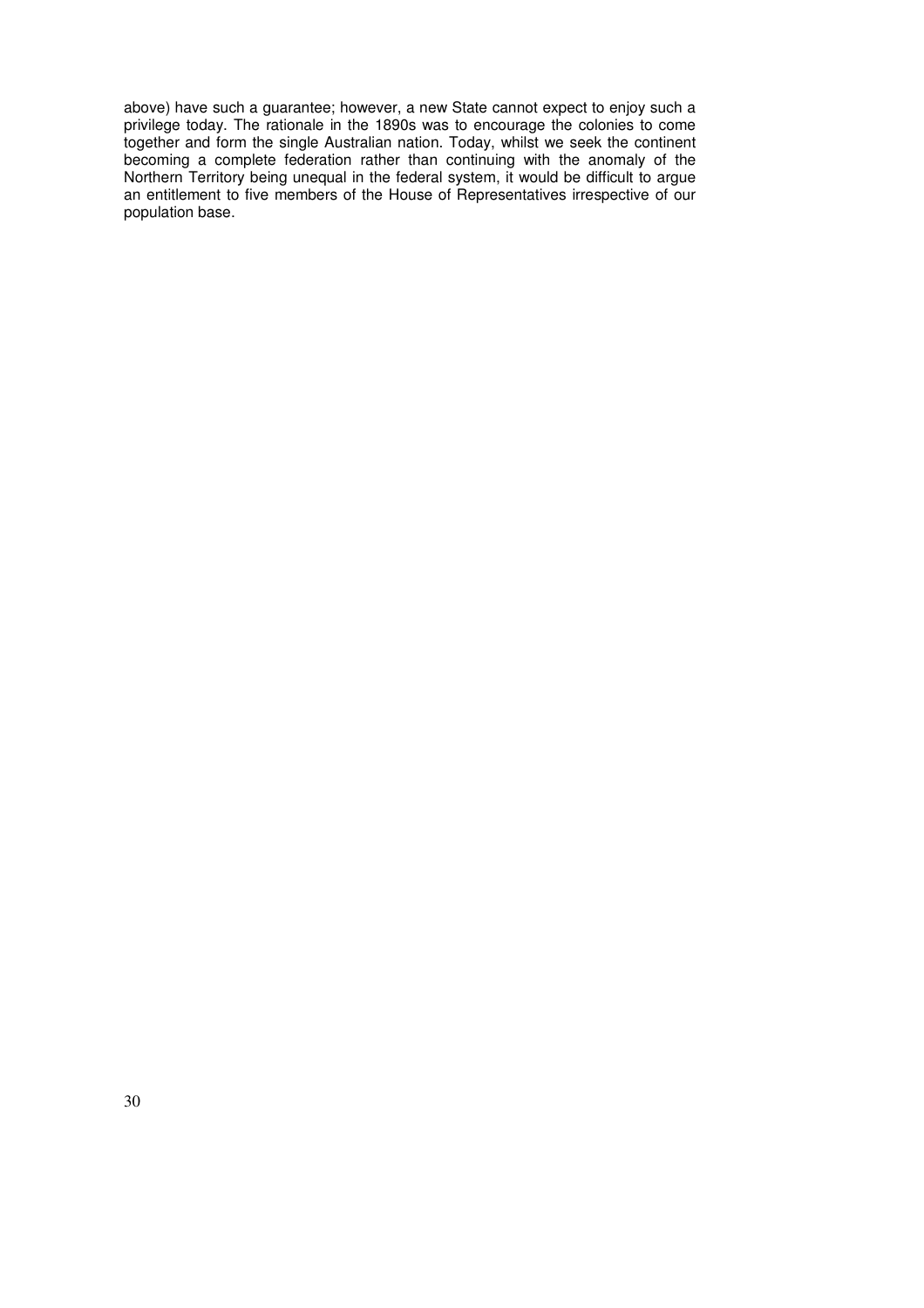above) have such a guarantee; however, a new State cannot expect to enjoy such a privilege today. The rationale in the 1890s was to encourage the colonies to come together and form the single Australian nation. Today, whilst we seek the continent becoming a complete federation rather than continuing with the anomaly of the Northern Territory being unequal in the federal system, it would be difficult to argue an entitlement to five members of the House of Representatives irrespective of our population base.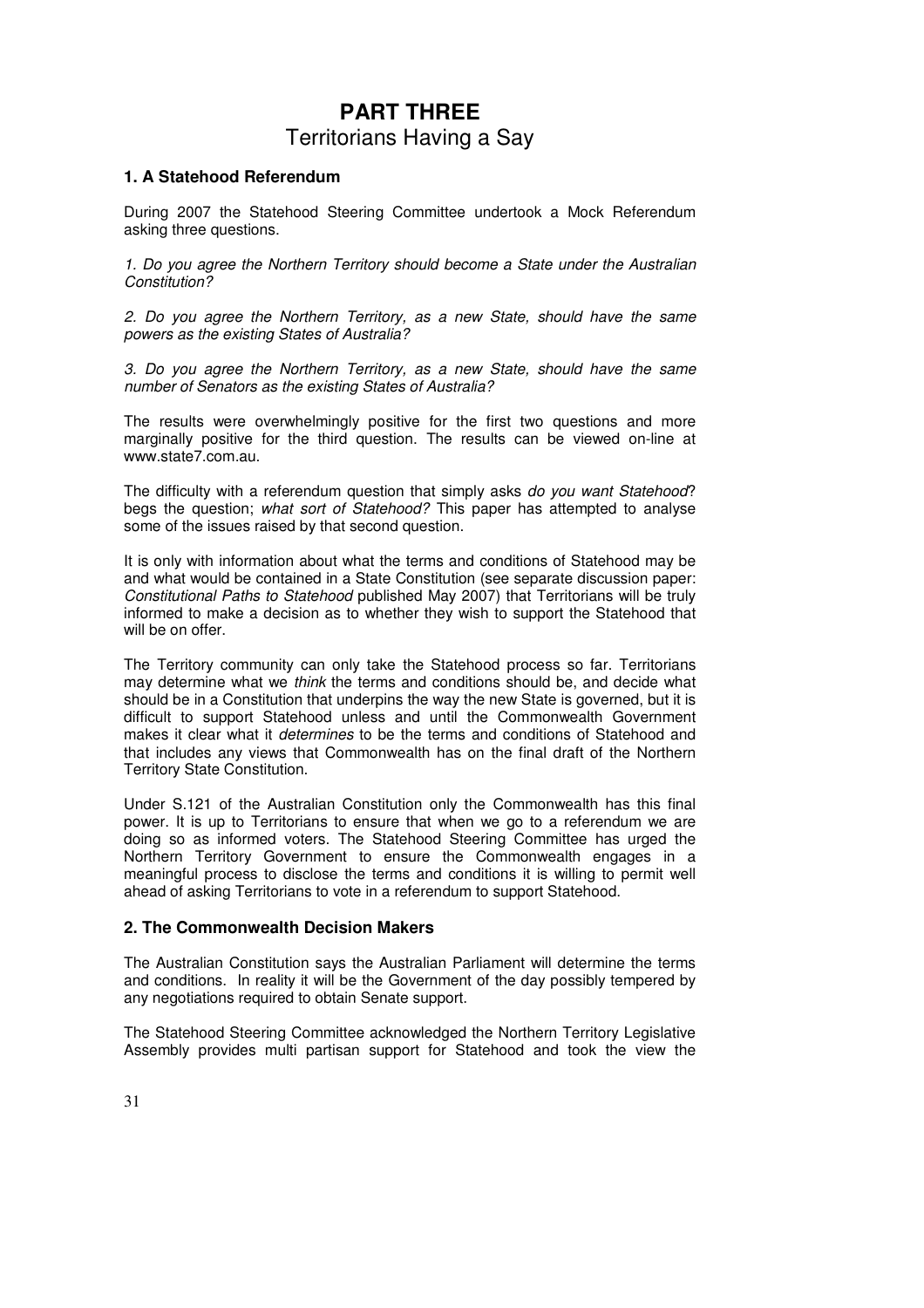# **PART THREE**  Territorians Having a Say

### **1. A Statehood Referendum**

During 2007 the Statehood Steering Committee undertook a Mock Referendum asking three questions.

1. Do you agree the Northern Territory should become a State under the Australian Constitution?

2. Do you agree the Northern Territory, as a new State, should have the same powers as the existing States of Australia?

3. Do you agree the Northern Territory, as a new State, should have the same number of Senators as the existing States of Australia?

The results were overwhelmingly positive for the first two questions and more marginally positive for the third question. The results can be viewed on-line at www.state7.com.au.

The difficulty with a referendum question that simply asks do you want Statehood? begs the question; what sort of Statehood? This paper has attempted to analyse some of the issues raised by that second question.

It is only with information about what the terms and conditions of Statehood may be and what would be contained in a State Constitution (see separate discussion paper: Constitutional Paths to Statehood published May 2007) that Territorians will be truly informed to make a decision as to whether they wish to support the Statehood that will be on offer.

The Territory community can only take the Statehood process so far. Territorians may determine what we think the terms and conditions should be, and decide what should be in a Constitution that underpins the way the new State is governed, but it is difficult to support Statehood unless and until the Commonwealth Government makes it clear what it *determines* to be the terms and conditions of Statehood and that includes any views that Commonwealth has on the final draft of the Northern Territory State Constitution.

Under S.121 of the Australian Constitution only the Commonwealth has this final power. It is up to Territorians to ensure that when we go to a referendum we are doing so as informed voters. The Statehood Steering Committee has urged the Northern Territory Government to ensure the Commonwealth engages in a meaningful process to disclose the terms and conditions it is willing to permit well ahead of asking Territorians to vote in a referendum to support Statehood.

### **2. The Commonwealth Decision Makers**

The Australian Constitution says the Australian Parliament will determine the terms and conditions. In reality it will be the Government of the day possibly tempered by any negotiations required to obtain Senate support.

The Statehood Steering Committee acknowledged the Northern Territory Legislative Assembly provides multi partisan support for Statehood and took the view the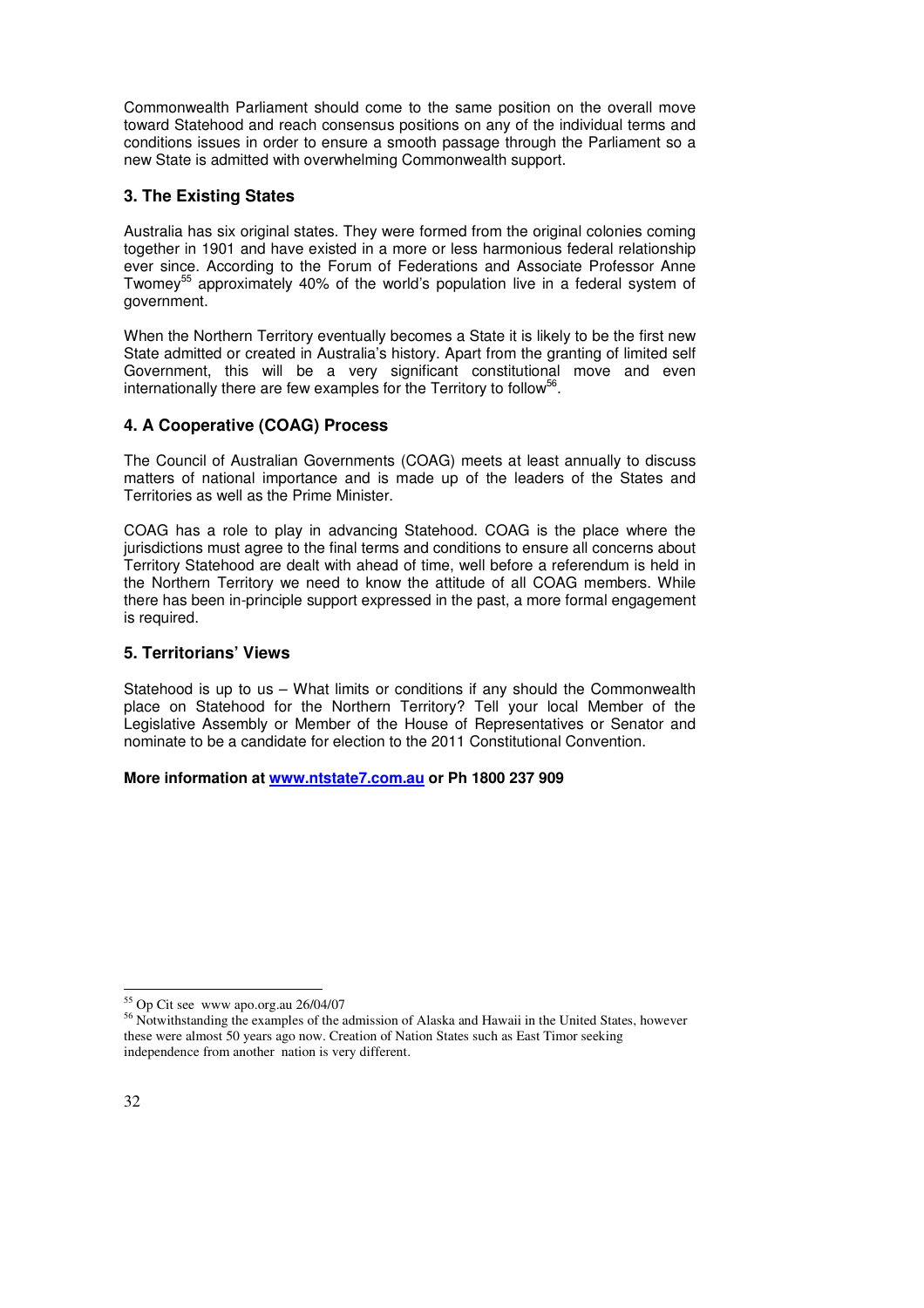Commonwealth Parliament should come to the same position on the overall move toward Statehood and reach consensus positions on any of the individual terms and conditions issues in order to ensure a smooth passage through the Parliament so a new State is admitted with overwhelming Commonwealth support.

### **3. The Existing States**

Australia has six original states. They were formed from the original colonies coming together in 1901 and have existed in a more or less harmonious federal relationship ever since. According to the Forum of Federations and Associate Professor Anne Twomey<sup>55</sup> approximately 40% of the world's population live in a federal system of government.

When the Northern Territory eventually becomes a State it is likely to be the first new State admitted or created in Australia's history. Apart from the granting of limited self Government, this will be a very significant constitutional move and even internationally there are few examples for the Territory to follow<sup>56</sup>.

### **4. A Cooperative (COAG) Process**

The Council of Australian Governments (COAG) meets at least annually to discuss matters of national importance and is made up of the leaders of the States and Territories as well as the Prime Minister.

COAG has a role to play in advancing Statehood. COAG is the place where the jurisdictions must agree to the final terms and conditions to ensure all concerns about Territory Statehood are dealt with ahead of time, well before a referendum is held in the Northern Territory we need to know the attitude of all COAG members. While there has been in-principle support expressed in the past, a more formal engagement is required.

### **5. Territorians' Views**

Statehood is up to us – What limits or conditions if any should the Commonwealth place on Statehood for the Northern Territory? Tell your local Member of the Legislative Assembly or Member of the House of Representatives or Senator and nominate to be a candidate for election to the 2011 Constitutional Convention.

**More information at www.ntstate7.com.au or Ph 1800 237 909** 

<sup>-</sup><sup>55</sup> Op Cit see www apo.org.au 26/04/07

<sup>&</sup>lt;sup>56</sup> Notwithstanding the examples of the admission of Alaska and Hawaii in the United States, however these were almost 50 years ago now. Creation of Nation States such as East Timor seeking independence from another nation is very different.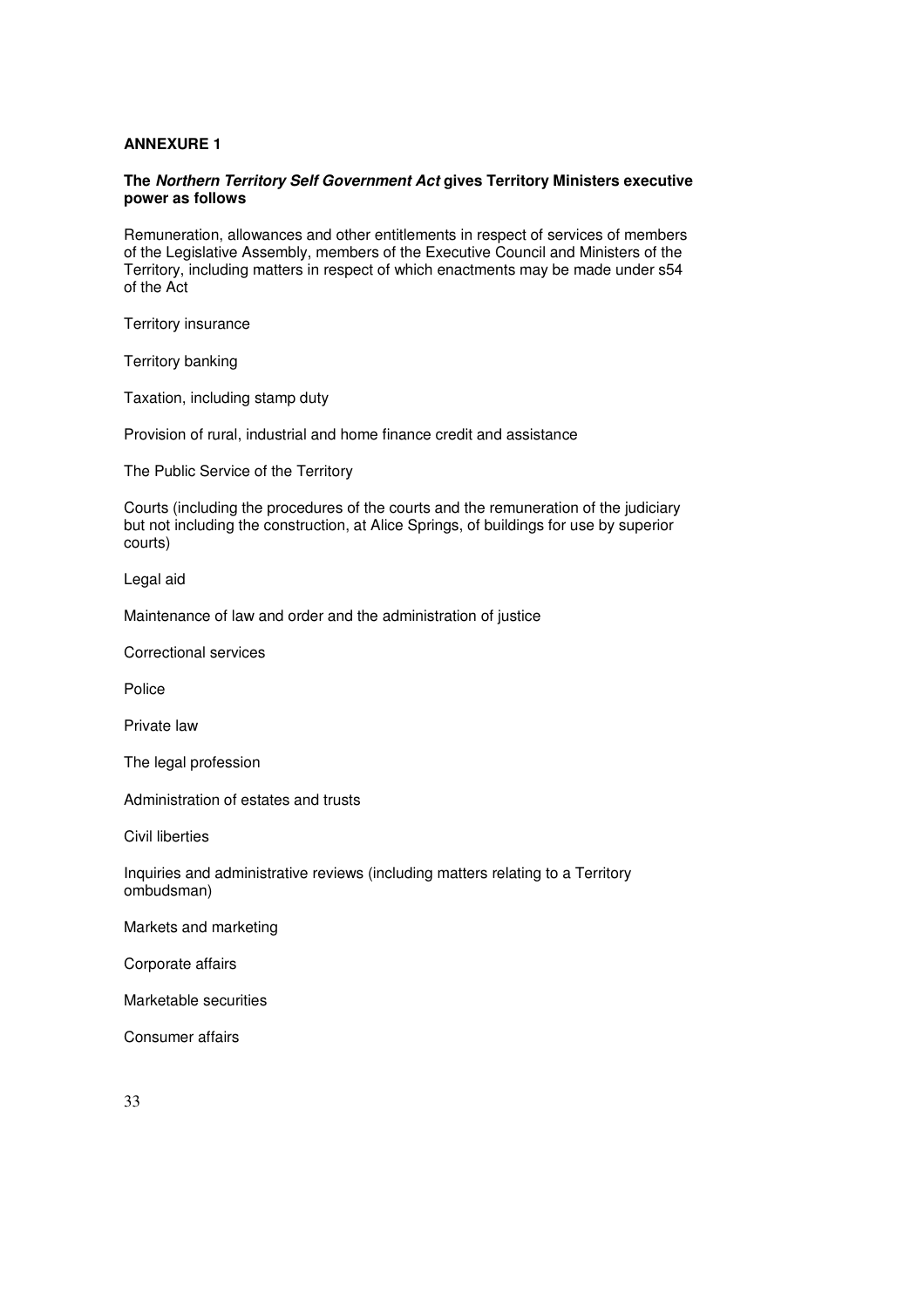### **ANNEXURE 1**

### **The Northern Territory Self Government Act gives Territory Ministers executive power as follows**

Remuneration, allowances and other entitlements in respect of services of members of the Legislative Assembly, members of the Executive Council and Ministers of the Territory, including matters in respect of which enactments may be made under s54 of the Act

Territory insurance

Territory banking

Taxation, including stamp duty

Provision of rural, industrial and home finance credit and assistance

The Public Service of the Territory

Courts (including the procedures of the courts and the remuneration of the judiciary but not including the construction, at Alice Springs, of buildings for use by superior courts)

Legal aid

Maintenance of law and order and the administration of justice

Correctional services

Police

Private law

The legal profession

Administration of estates and trusts

Civil liberties

Inquiries and administrative reviews (including matters relating to a Territory ombudsman)

Markets and marketing

Corporate affairs

Marketable securities

Consumer affairs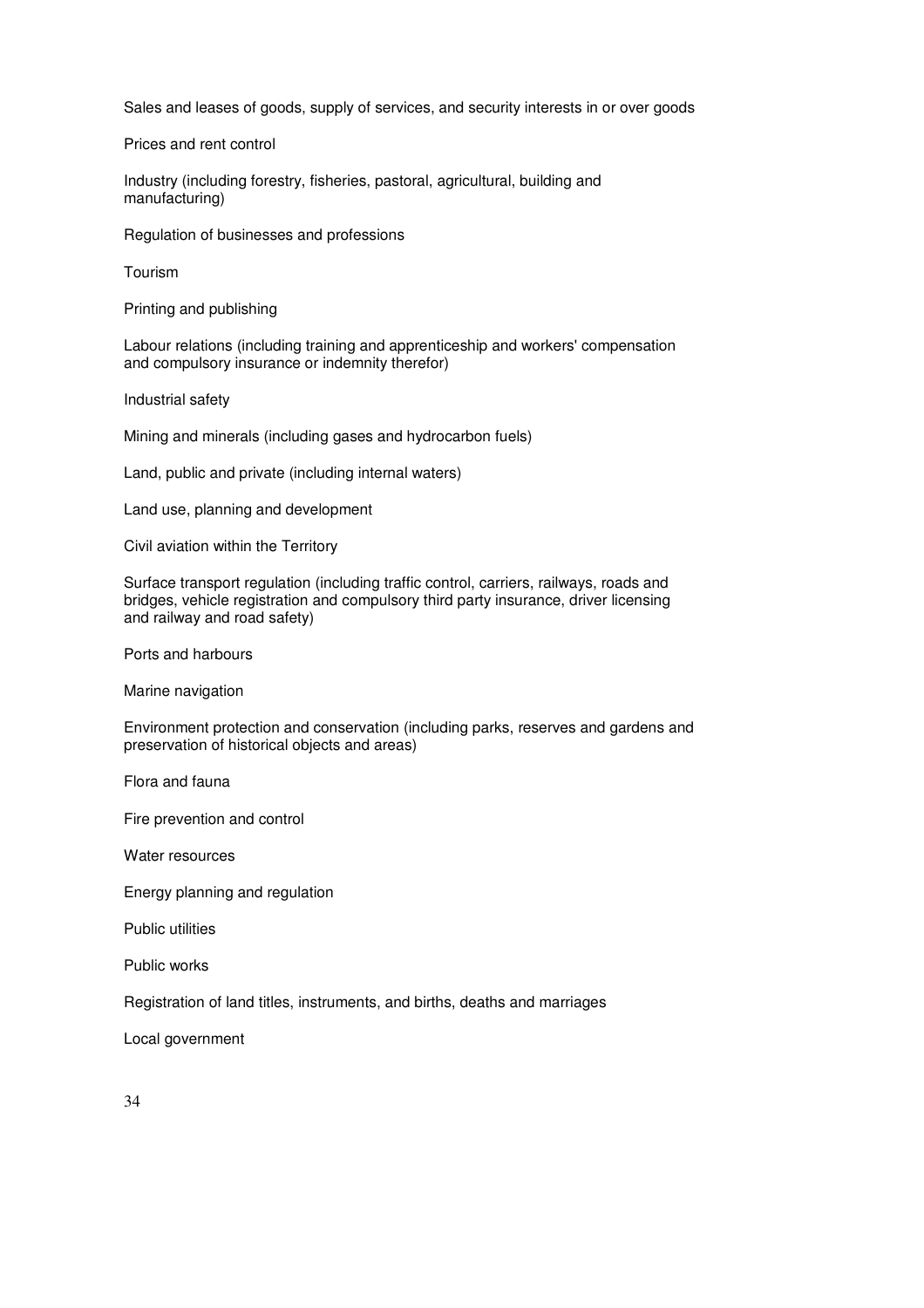Sales and leases of goods, supply of services, and security interests in or over goods

Prices and rent control

Industry (including forestry, fisheries, pastoral, agricultural, building and manufacturing)

Regulation of businesses and professions

Tourism

Printing and publishing

Labour relations (including training and apprenticeship and workers' compensation and compulsory insurance or indemnity therefor)

Industrial safety

Mining and minerals (including gases and hydrocarbon fuels)

Land, public and private (including internal waters)

Land use, planning and development

Civil aviation within the Territory

Surface transport regulation (including traffic control, carriers, railways, roads and bridges, vehicle registration and compulsory third party insurance, driver licensing and railway and road safety)

Ports and harbours

Marine navigation

Environment protection and conservation (including parks, reserves and gardens and preservation of historical objects and areas)

Flora and fauna

Fire prevention and control

Water resources

Energy planning and regulation

Public utilities

Public works

Registration of land titles, instruments, and births, deaths and marriages

Local government

34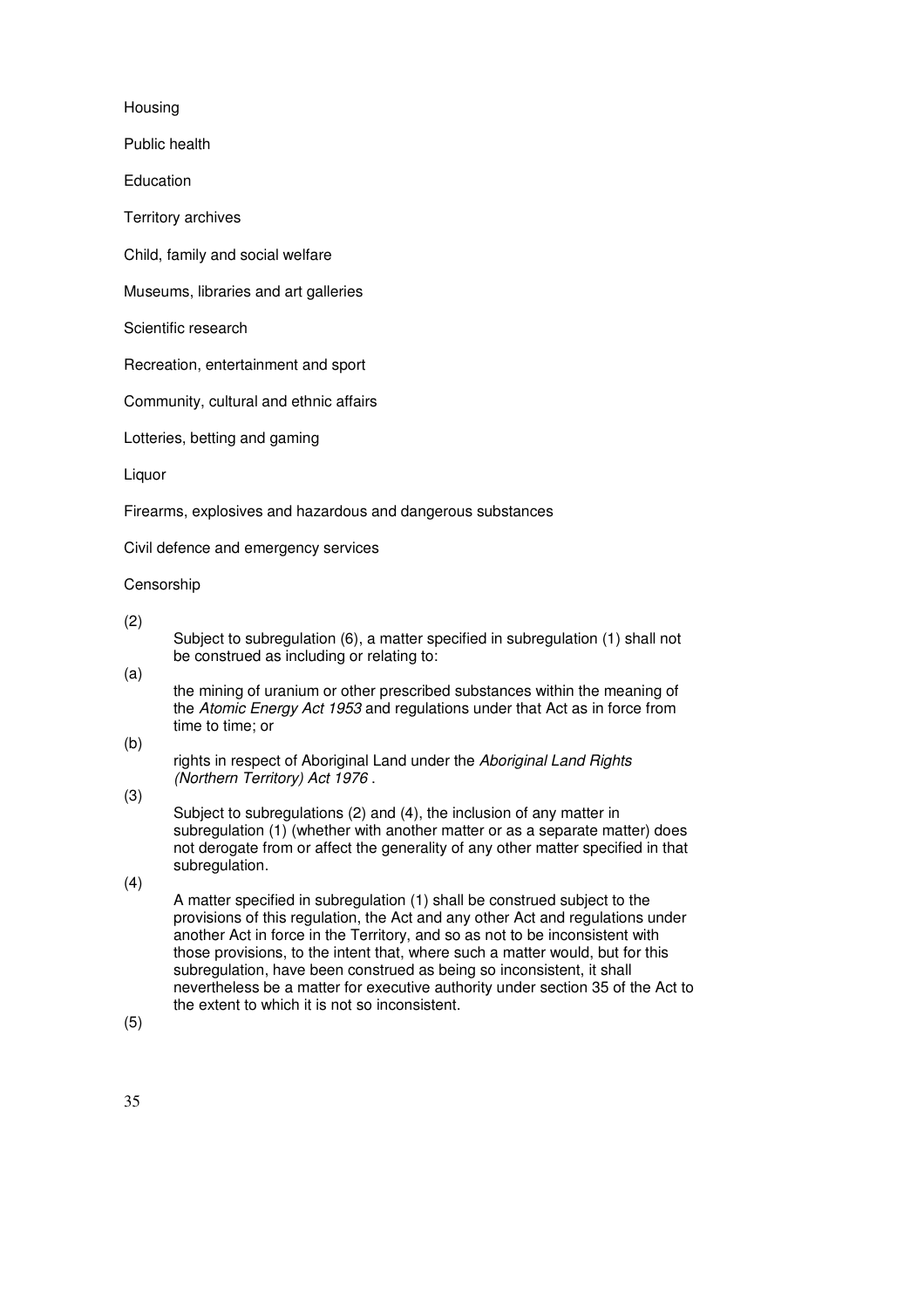Housing

Public health

Education

Territory archives

Child, family and social welfare

Museums, libraries and art galleries

Scientific research

Recreation, entertainment and sport

Community, cultural and ethnic affairs

Lotteries, betting and gaming

Liquor

Firearms, explosives and hazardous and dangerous substances

Civil defence and emergency services

Censorship

(2)

Subject to subregulation (6), a matter specified in subregulation (1) shall not be construed as including or relating to:

(a)

the mining of uranium or other prescribed substances within the meaning of the Atomic Energy Act 1953 and regulations under that Act as in force from time to time; or

(b)

rights in respect of Aboriginal Land under the Aboriginal Land Rights (Northern Territory) Act 1976 .

(3)

Subject to subregulations (2) and (4), the inclusion of any matter in subregulation (1) (whether with another matter or as a separate matter) does not derogate from or affect the generality of any other matter specified in that subregulation.

(4)

A matter specified in subregulation (1) shall be construed subject to the provisions of this regulation, the Act and any other Act and regulations under another Act in force in the Territory, and so as not to be inconsistent with those provisions, to the intent that, where such a matter would, but for this subregulation, have been construed as being so inconsistent, it shall nevertheless be a matter for executive authority under section 35 of the Act to the extent to which it is not so inconsistent.

(5)